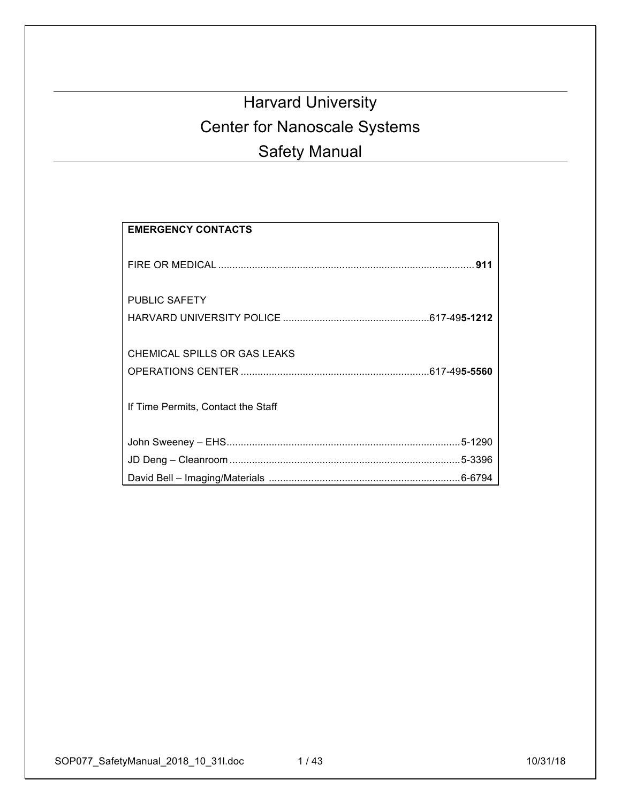# Harvard University Center for Nanoscale Systems Safety Manual

| <b>EMERGENCY CONTACTS</b>                                          |
|--------------------------------------------------------------------|
|                                                                    |
| <b>PUBLIC SAFETY</b>                                               |
| CHEMICAL SPILLS OR GAS LEAKS<br>If Time Permits, Contact the Staff |
|                                                                    |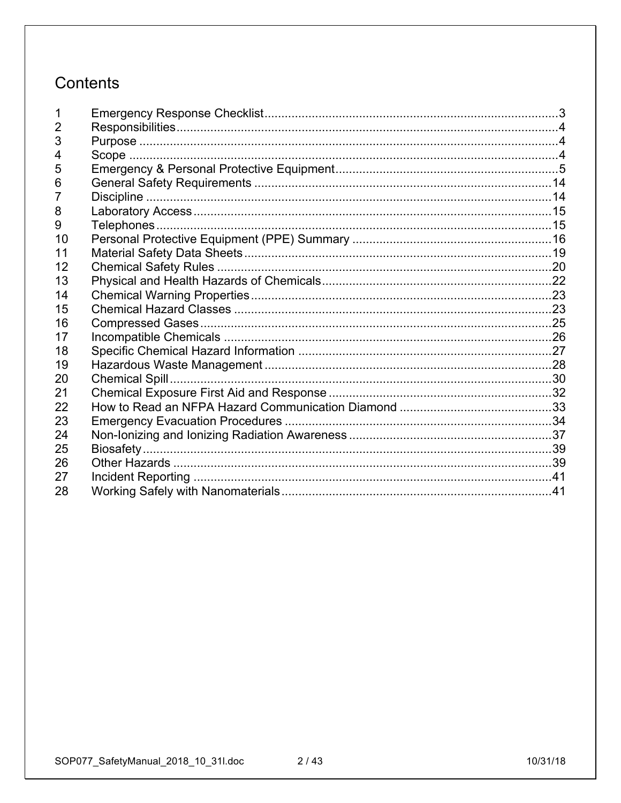# Contents

| 2  |  |
|----|--|
| 3  |  |
| 4  |  |
| 5  |  |
| 6  |  |
| 7  |  |
| 8  |  |
| 9  |  |
| 10 |  |
| 11 |  |
| 12 |  |
| 13 |  |
| 14 |  |
| 15 |  |
| 16 |  |
| 17 |  |
| 18 |  |
| 19 |  |
| 20 |  |
| 21 |  |
| 22 |  |
| 23 |  |
| 24 |  |
| 25 |  |
| 26 |  |
| 27 |  |
| 28 |  |
|    |  |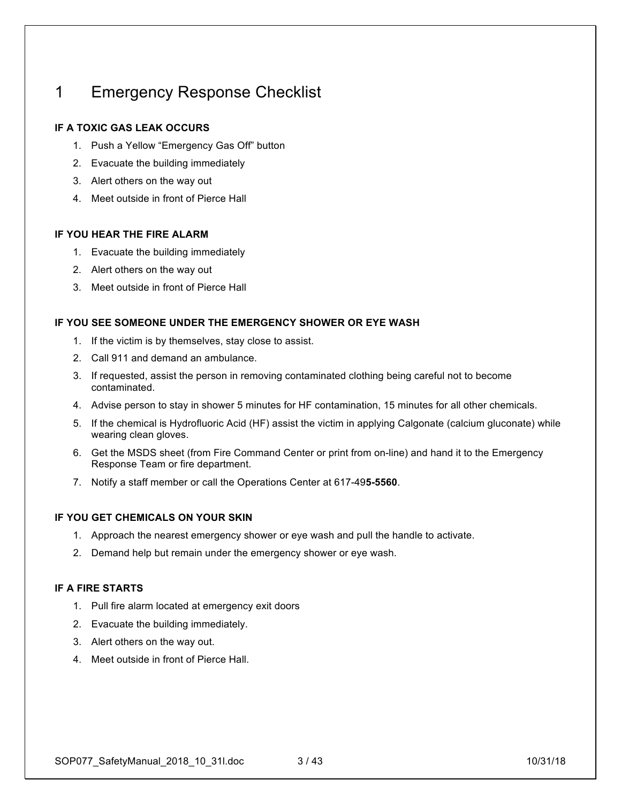## 1 Emergency Response Checklist

### **IF A TOXIC GAS LEAK OCCURS**

- 1. Push a Yellow "Emergency Gas Off" button
- 2. Evacuate the building immediately
- 3. Alert others on the way out
- 4. Meet outside in front of Pierce Hall

### **IF YOU HEAR THE FIRE ALARM**

- 1. Evacuate the building immediately
- 2. Alert others on the way out
- 3. Meet outside in front of Pierce Hall

### **IF YOU SEE SOMEONE UNDER THE EMERGENCY SHOWER OR EYE WASH**

- 1. If the victim is by themselves, stay close to assist.
- 2. Call 911 and demand an ambulance.
- 3. If requested, assist the person in removing contaminated clothing being careful not to become contaminated.
- 4. Advise person to stay in shower 5 minutes for HF contamination, 15 minutes for all other chemicals.
- 5. If the chemical is Hydrofluoric Acid (HF) assist the victim in applying Calgonate (calcium gluconate) while wearing clean gloves.
- 6. Get the MSDS sheet (from Fire Command Center or print from on-line) and hand it to the Emergency Response Team or fire department.
- 7. Notify a staff member or call the Operations Center at 617-49**5-5560**.

### **IF YOU GET CHEMICALS ON YOUR SKIN**

- 1. Approach the nearest emergency shower or eye wash and pull the handle to activate.
- 2. Demand help but remain under the emergency shower or eye wash.

### **IF A FIRE STARTS**

- 1. Pull fire alarm located at emergency exit doors
- 2. Evacuate the building immediately.
- 3. Alert others on the way out.
- 4. Meet outside in front of Pierce Hall.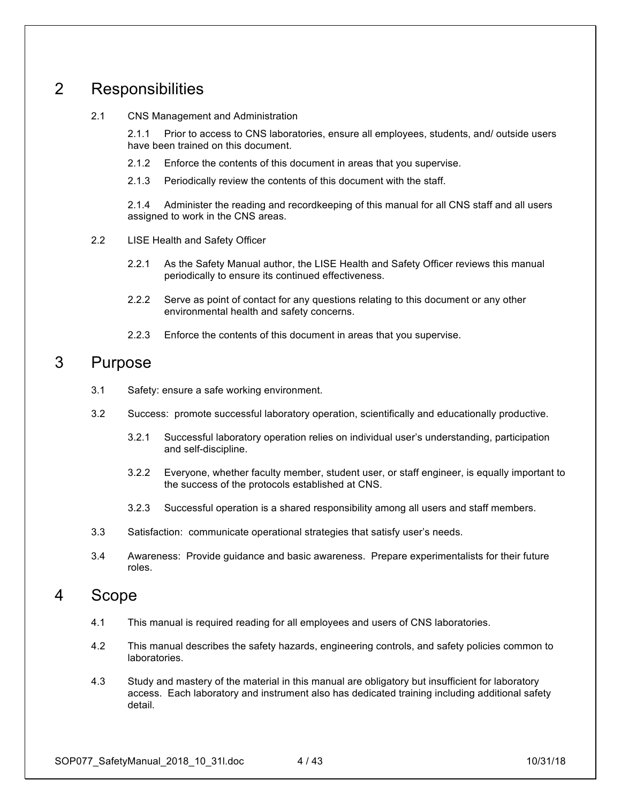## 2 Responsibilities

#### 2.1 CNS Management and Administration

2.1.1 Prior to access to CNS laboratories, ensure all employees, students, and/ outside users have been trained on this document.

- 2.1.2 Enforce the contents of this document in areas that you supervise.
- 2.1.3 Periodically review the contents of this document with the staff.

2.1.4 Administer the reading and recordkeeping of this manual for all CNS staff and all users assigned to work in the CNS areas.

- 2.2 LISE Health and Safety Officer
	- 2.2.1 As the Safety Manual author, the LISE Health and Safety Officer reviews this manual periodically to ensure its continued effectiveness.
	- 2.2.2 Serve as point of contact for any questions relating to this document or any other environmental health and safety concerns.
	- 2.2.3 Enforce the contents of this document in areas that you supervise.

### 3 Purpose

- 3.1 Safety: ensure a safe working environment.
- 3.2 Success: promote successful laboratory operation, scientifically and educationally productive.
	- 3.2.1 Successful laboratory operation relies on individual user's understanding, participation and self-discipline.
	- 3.2.2 Everyone, whether faculty member, student user, or staff engineer, is equally important to the success of the protocols established at CNS.
	- 3.2.3 Successful operation is a shared responsibility among all users and staff members.
- 3.3 Satisfaction: communicate operational strategies that satisfy user's needs.
- 3.4 Awareness: Provide guidance and basic awareness. Prepare experimentalists for their future roles.

### 4 Scope

- 4.1 This manual is required reading for all employees and users of CNS laboratories.
- 4.2 This manual describes the safety hazards, engineering controls, and safety policies common to laboratories.
- 4.3 Study and mastery of the material in this manual are obligatory but insufficient for laboratory access. Each laboratory and instrument also has dedicated training including additional safety detail.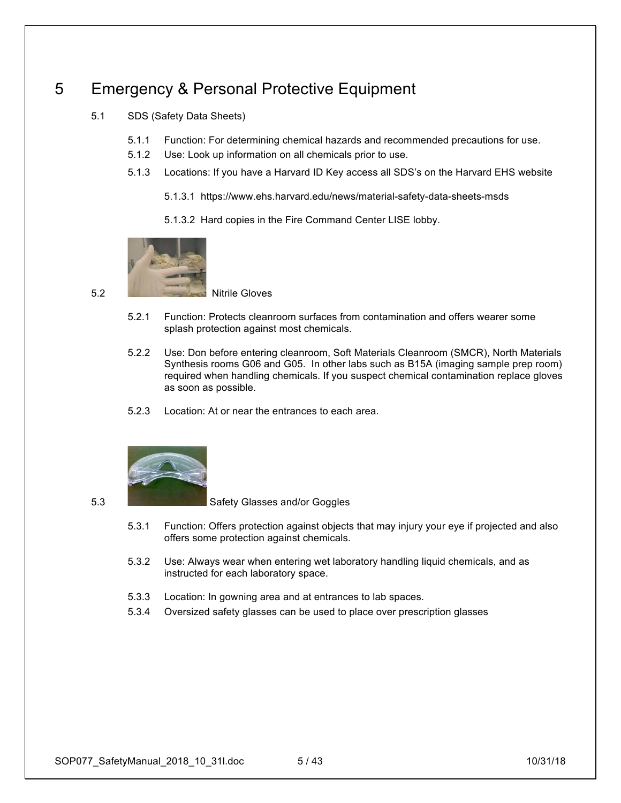## 5 Emergency & Personal Protective Equipment

- 5.1 SDS (Safety Data Sheets)
	- 5.1.1 Function: For determining chemical hazards and recommended precautions for use.
	- 5.1.2 Use: Look up information on all chemicals prior to use.
	- 5.1.3 Locations: If you have a Harvard ID Key access all SDS's on the Harvard EHS website
		- 5.1.3.1 https://www.ehs.harvard.edu/news/material-safety-data-sheets-msds
		- 5.1.3.2 Hard copies in the Fire Command Center LISE lobby.



5.2 Nitrile Gloves

- 5.2.1 Function: Protects cleanroom surfaces from contamination and offers wearer some splash protection against most chemicals.
- 5.2.2 Use: Don before entering cleanroom, Soft Materials Cleanroom (SMCR), North Materials Synthesis rooms G06 and G05. In other labs such as B15A (imaging sample prep room) required when handling chemicals. If you suspect chemical contamination replace gloves as soon as possible.
- 5.2.3 Location: At or near the entrances to each area.



5.3 Safety Glasses and/or Goggles

- 5.3.1 Function: Offers protection against objects that may injury your eye if projected and also offers some protection against chemicals.
- 5.3.2 Use: Always wear when entering wet laboratory handling liquid chemicals, and as instructed for each laboratory space.
- 5.3.3 Location: In gowning area and at entrances to lab spaces.
- 5.3.4 Oversized safety glasses can be used to place over prescription glasses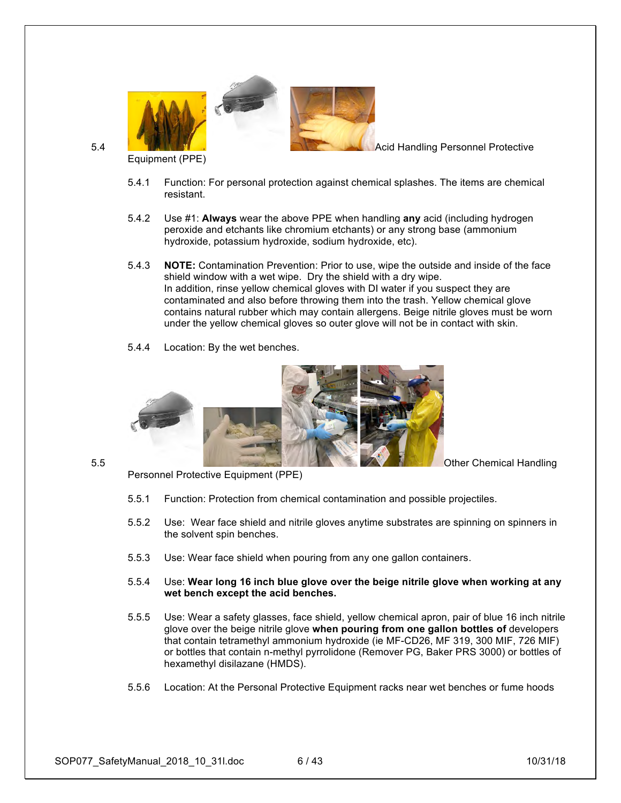

Equipment (PPE)

- 5.4.1 Function: For personal protection against chemical splashes. The items are chemical resistant.
- 5.4.2 Use #1: **Always** wear the above PPE when handling **any** acid (including hydrogen peroxide and etchants like chromium etchants) or any strong base (ammonium hydroxide, potassium hydroxide, sodium hydroxide, etc).
- 5.4.3 **NOTE:** Contamination Prevention: Prior to use, wipe the outside and inside of the face shield window with a wet wipe. Dry the shield with a dry wipe. In addition, rinse yellow chemical gloves with DI water if you suspect they are contaminated and also before throwing them into the trash. Yellow chemical glove contains natural rubber which may contain allergens. Beige nitrile gloves must be worn under the yellow chemical gloves so outer glove will not be in contact with skin.
- 5.4.4 Location: By the wet benches.

Personnel Protective Equipment (PPE)



- 5.5.1 Function: Protection from chemical contamination and possible projectiles.
- 5.5.2 Use: Wear face shield and nitrile gloves anytime substrates are spinning on spinners in the solvent spin benches.
- 5.5.3 Use: Wear face shield when pouring from any one gallon containers.
- 5.5.4 Use: **Wear long 16 inch blue glove over the beige nitrile glove when working at any wet bench except the acid benches.**
- 5.5.5 Use: Wear a safety glasses, face shield, yellow chemical apron, pair of blue 16 inch nitrile glove over the beige nitrile glove **when pouring from one gallon bottles of** developers that contain tetramethyl ammonium hydroxide (ie MF-CD26, MF 319, 300 MIF, 726 MIF) or bottles that contain n-methyl pyrrolidone (Remover PG, Baker PRS 3000) or bottles of hexamethyl disilazane (HMDS).
- 5.5.6 Location: At the Personal Protective Equipment racks near wet benches or fume hoods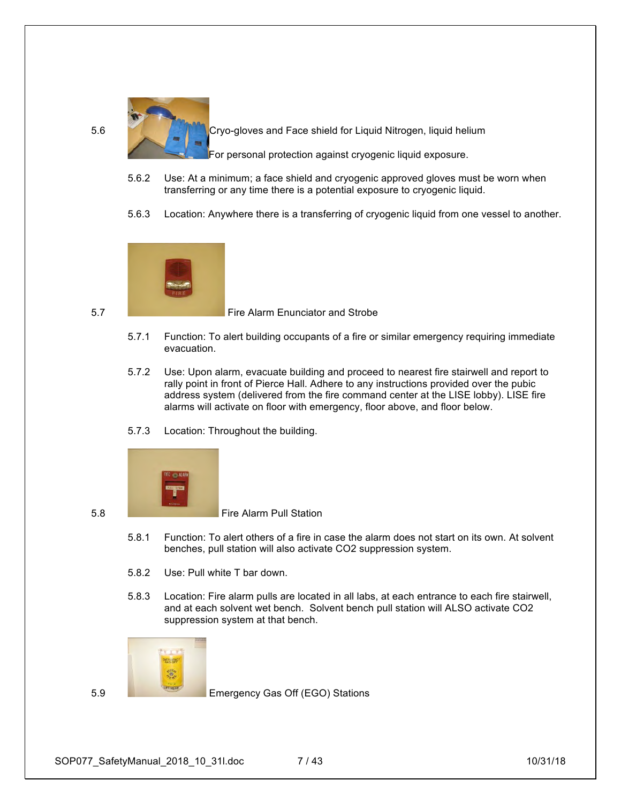

5.6 Cryo-gloves and Face shield for Liquid Nitrogen, liquid helium

For personal protection against cryogenic liquid exposure.

- 5.6.2 Use: At a minimum; a face shield and cryogenic approved gloves must be worn when transferring or any time there is a potential exposure to cryogenic liquid.
- 5.6.3 Location: Anywhere there is a transferring of cryogenic liquid from one vessel to another.



5.7 Fire Alarm Enunciator and Strobe

- 5.7.1 Function: To alert building occupants of a fire or similar emergency requiring immediate evacuation.
- 5.7.2 Use: Upon alarm, evacuate building and proceed to nearest fire stairwell and report to rally point in front of Pierce Hall. Adhere to any instructions provided over the pubic address system (delivered from the fire command center at the LISE lobby). LISE fire alarms will activate on floor with emergency, floor above, and floor below.
- 5.7.3 Location: Throughout the building.



5.8 Fire Alarm Pull Station

- 5.8.1 Function: To alert others of a fire in case the alarm does not start on its own. At solvent benches, pull station will also activate CO2 suppression system.
- 5.8.2 Use: Pull white T bar down.
- 5.8.3 Location: Fire alarm pulls are located in all labs, at each entrance to each fire stairwell, and at each solvent wet bench. Solvent bench pull station will ALSO activate CO2 suppression system at that bench.



5.9 Emergency Gas Off (EGO) Stations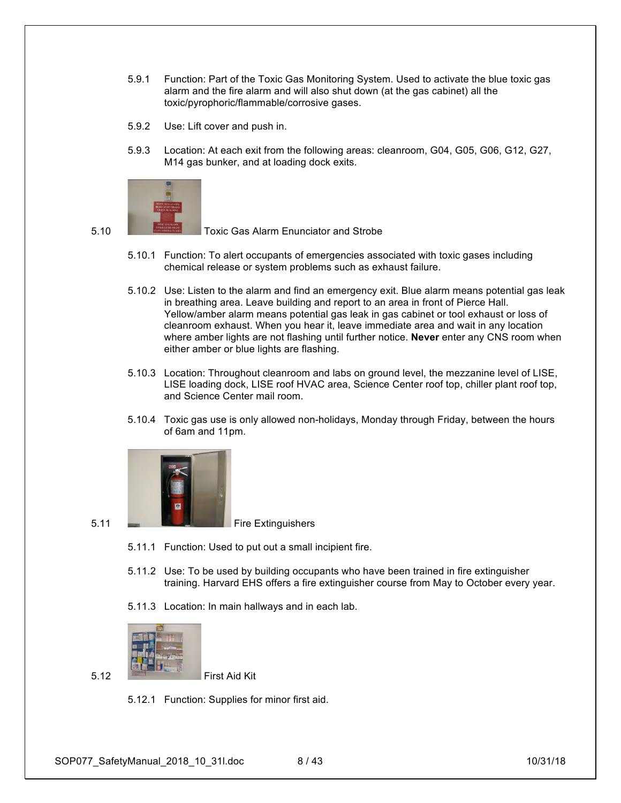- 5.9.1 Function: Part of the Toxic Gas Monitoring System. Used to activate the blue toxic gas alarm and the fire alarm and will also shut down (at the gas cabinet) all the toxic/pyrophoric/flammable/corrosive gases.
- 5.9.2 Use: Lift cover and push in.
- 5.9.3 Location: At each exit from the following areas: cleanroom, G04, G05, G06, G12, G27, M14 gas bunker, and at loading dock exits.



5.10 Toxic Gas Alarm Enunciator and Strobe

- 5.10.1 Function: To alert occupants of emergencies associated with toxic gases including chemical release or system problems such as exhaust failure.
- 5.10.2 Use: Listen to the alarm and find an emergency exit. Blue alarm means potential gas leak in breathing area. Leave building and report to an area in front of Pierce Hall. Yellow/amber alarm means potential gas leak in gas cabinet or tool exhaust or loss of cleanroom exhaust. When you hear it, leave immediate area and wait in any location where amber lights are not flashing until further notice. **Never** enter any CNS room when either amber or blue lights are flashing.
- 5.10.3 Location: Throughout cleanroom and labs on ground level, the mezzanine level of LISE, LISE loading dock, LISE roof HVAC area, Science Center roof top, chiller plant roof top, and Science Center mail room.
- 5.10.4 Toxic gas use is only allowed non-holidays, Monday through Friday, between the hours of 6am and 11pm.



- 
- 5.11.1 Function: Used to put out a small incipient fire.
- 5.11.2 Use: To be used by building occupants who have been trained in fire extinguisher training. Harvard EHS offers a fire extinguisher course from May to October every year.
- 5.11.3 Location: In main hallways and in each lab.



5.12 First Aid Kit

5.12.1 Function: Supplies for minor first aid.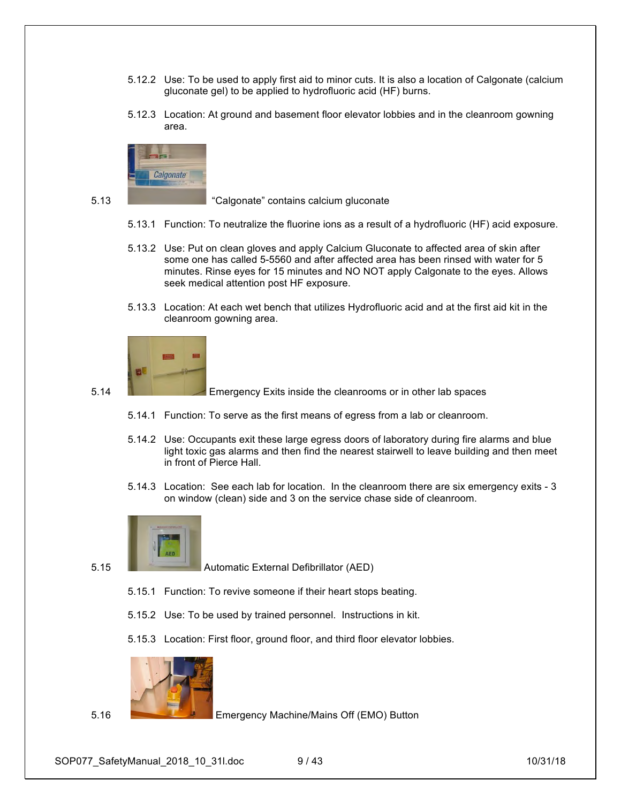- 5.12.2 Use: To be used to apply first aid to minor cuts. It is also a location of Calgonate (calcium gluconate gel) to be applied to hydrofluoric acid (HF) burns.
- 5.12.3 Location: At ground and basement floor elevator lobbies and in the cleanroom gowning area.



5.13 "Calgonate" contains calcium gluconate

- 5.13.1 Function: To neutralize the fluorine ions as a result of a hydrofluoric (HF) acid exposure.
- 5.13.2 Use: Put on clean gloves and apply Calcium Gluconate to affected area of skin after some one has called 5-5560 and after affected area has been rinsed with water for 5 minutes. Rinse eyes for 15 minutes and NO NOT apply Calgonate to the eyes. Allows seek medical attention post HF exposure.
- 5.13.3 Location: At each wet bench that utilizes Hydrofluoric acid and at the first aid kit in the cleanroom gowning area.



5.14 Emergency Exits inside the cleanrooms or in other lab spaces

- 5.14.1 Function: To serve as the first means of egress from a lab or cleanroom.
- 5.14.2 Use: Occupants exit these large egress doors of laboratory during fire alarms and blue light toxic gas alarms and then find the nearest stairwell to leave building and then meet in front of Pierce Hall.
- 5.14.3 Location: See each lab for location. In the cleanroom there are six emergency exits 3 on window (clean) side and 3 on the service chase side of cleanroom.



5.15 Automatic External Defibrillator (AED)

- 5.15.1 Function: To revive someone if their heart stops beating.
- 5.15.2 Use: To be used by trained personnel. Instructions in kit.
- 5.15.3 Location: First floor, ground floor, and third floor elevator lobbies.



5.16 Emergency Machine/Mains Off (EMO) Button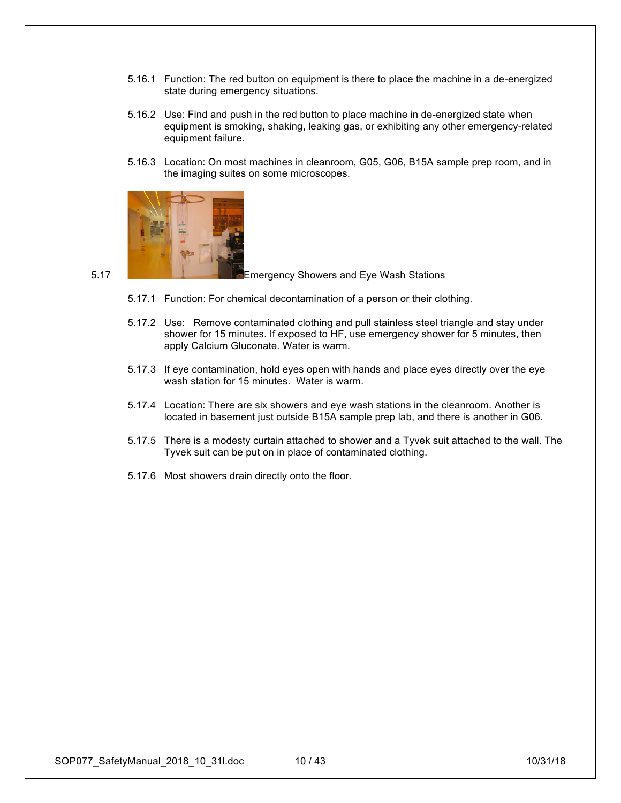- 5.16.1 Function: The red button on equipment is there to place the machine in a de-energized state during emergency situations.
- 5.16.2 Use: Find and push in the red button to place machine in de-energized state when equipment is smoking, shaking, leaking gas, or exhibiting any other emergency-related equipment failure.
- 5.16.3 Location: On most machines in cleanroom, G05, G06, B15A sample prep room, and in the imaging suites on some microscopes.



5.17 Emergency Showers and Eye Wash Stations

- 5.17.1 Function: For chemical decontamination of a person or their clothing.
- 5.17.2 Use: Remove contaminated clothing and pull stainless steel triangle and stay under shower for 15 minutes. If exposed to HF, use emergency shower for 5 minutes, then apply Calcium Gluconate. Water is warm.
- 5.17.3 If eye contamination, hold eyes open with hands and place eyes directly over the eye wash station for 15 minutes. Water is warm.
- 5.17.4 Location: There are six showers and eye wash stations in the cleanroom. Another is located in basement just outside B15A sample prep lab, and there is another in G06.
- 5.17.5 There is a modesty curtain attached to shower and a Tyvek suit attached to the wall. The Tyvek suit can be put on in place of contaminated clothing.
- 5.17.6 Most showers drain directly onto the floor.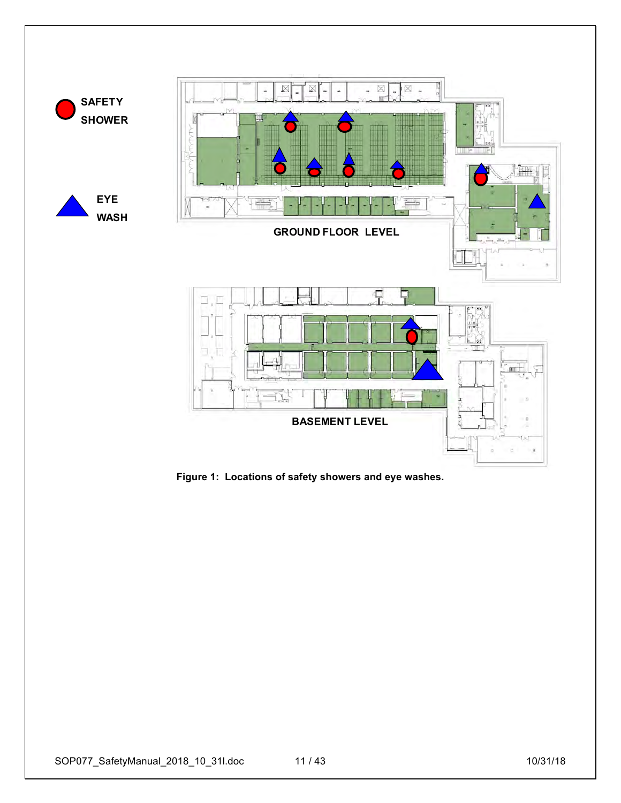

**Figure 1: Locations of safety showers and eye washes.**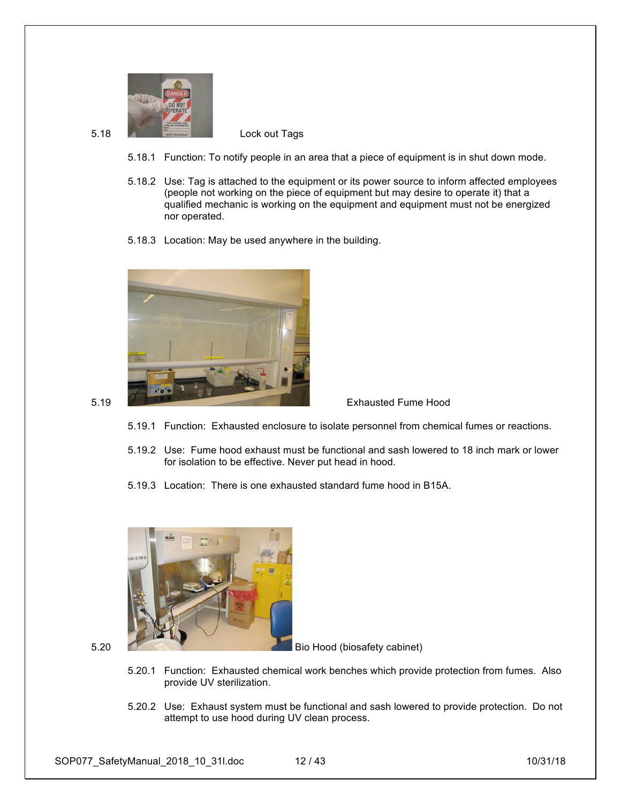

- 5.18.1 Function: To notify people in an area that a piece of equipment is in shut down mode.
- 5.18.2 Use: Tag is attached to the equipment or its power source to inform affected employees (people not working on the piece of equipment but may desire to operate it) that a qualified mechanic is working on the equipment and equipment must not be energized nor operated.
- 5.18.3 Location: May be used anywhere in the building.





- 5.19.1 Function: Exhausted enclosure to isolate personnel from chemical fumes or reactions.
- 5.19.2 Use: Fume hood exhaust must be functional and sash lowered to 18 inch mark or lower for isolation to be effective. Never put head in hood.
- 5.19.3 Location: There is one exhausted standard fume hood in B15A.



5.20 Bio Hood (biosafety cabinet)

- 5.20.1 Function: Exhausted chemical work benches which provide protection from fumes. Also provide UV sterilization.
- 5.20.2 Use: Exhaust system must be functional and sash lowered to provide protection. Do not attempt to use hood during UV clean process.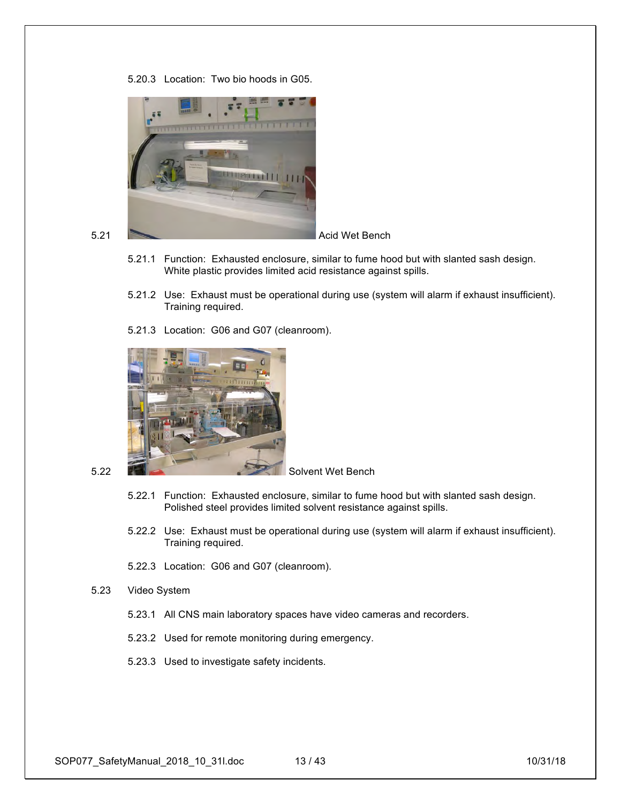5.20.3 Location: Two bio hoods in G05.



- 5.21.1 Function: Exhausted enclosure, similar to fume hood but with slanted sash design. White plastic provides limited acid resistance against spills.
- 5.21.2 Use: Exhaust must be operational during use (system will alarm if exhaust insufficient). Training required.
- 5.21.3 Location: G06 and G07 (cleanroom).



- 5.22.1 Function: Exhausted enclosure, similar to fume hood but with slanted sash design. Polished steel provides limited solvent resistance against spills.
- 5.22.2 Use: Exhaust must be operational during use (system will alarm if exhaust insufficient). Training required.
- 5.22.3 Location: G06 and G07 (cleanroom).
- 5.23 Video System
	- 5.23.1 All CNS main laboratory spaces have video cameras and recorders.
	- 5.23.2 Used for remote monitoring during emergency.
	- 5.23.3 Used to investigate safety incidents.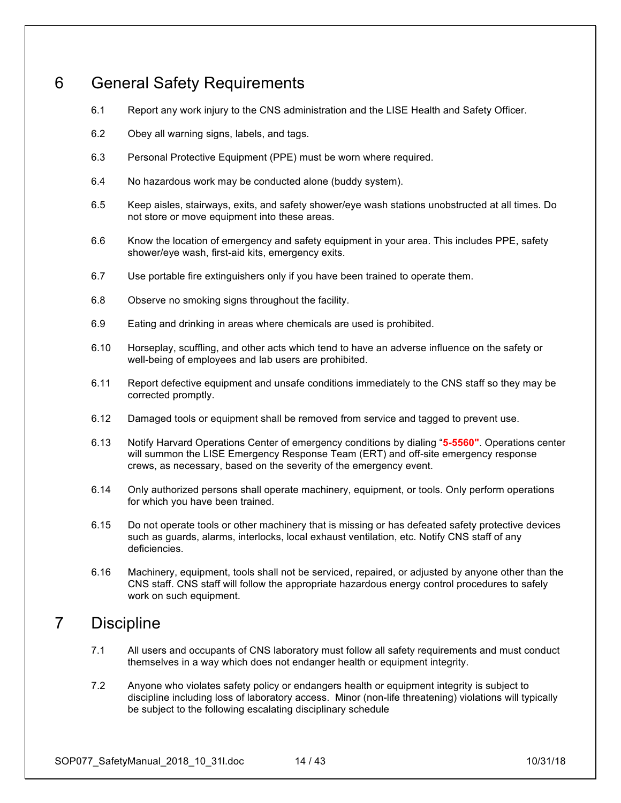## 6 General Safety Requirements

- 6.1 Report any work injury to the CNS administration and the LISE Health and Safety Officer.
- 6.2 Obey all warning signs, labels, and tags.
- 6.3 Personal Protective Equipment (PPE) must be worn where required.
- 6.4 No hazardous work may be conducted alone (buddy system).
- 6.5 Keep aisles, stairways, exits, and safety shower/eye wash stations unobstructed at all times. Do not store or move equipment into these areas.
- 6.6 Know the location of emergency and safety equipment in your area. This includes PPE, safety shower/eye wash, first-aid kits, emergency exits.
- 6.7 Use portable fire extinguishers only if you have been trained to operate them.
- 6.8 Observe no smoking signs throughout the facility.
- 6.9 Eating and drinking in areas where chemicals are used is prohibited.
- 6.10 Horseplay, scuffling, and other acts which tend to have an adverse influence on the safety or well-being of employees and lab users are prohibited.
- 6.11 Report defective equipment and unsafe conditions immediately to the CNS staff so they may be corrected promptly.
- 6.12 Damaged tools or equipment shall be removed from service and tagged to prevent use.
- 6.13 Notify Harvard Operations Center of emergency conditions by dialing "**5-5560"**. Operations center will summon the LISE Emergency Response Team (ERT) and off-site emergency response crews, as necessary, based on the severity of the emergency event.
- 6.14 Only authorized persons shall operate machinery, equipment, or tools. Only perform operations for which you have been trained.
- 6.15 Do not operate tools or other machinery that is missing or has defeated safety protective devices such as guards, alarms, interlocks, local exhaust ventilation, etc. Notify CNS staff of any deficiencies.
- 6.16 Machinery, equipment, tools shall not be serviced, repaired, or adjusted by anyone other than the CNS staff. CNS staff will follow the appropriate hazardous energy control procedures to safely work on such equipment.

## 7 Discipline

- 7.1 All users and occupants of CNS laboratory must follow all safety requirements and must conduct themselves in a way which does not endanger health or equipment integrity.
- 7.2 Anyone who violates safety policy or endangers health or equipment integrity is subject to discipline including loss of laboratory access. Minor (non-life threatening) violations will typically be subject to the following escalating disciplinary schedule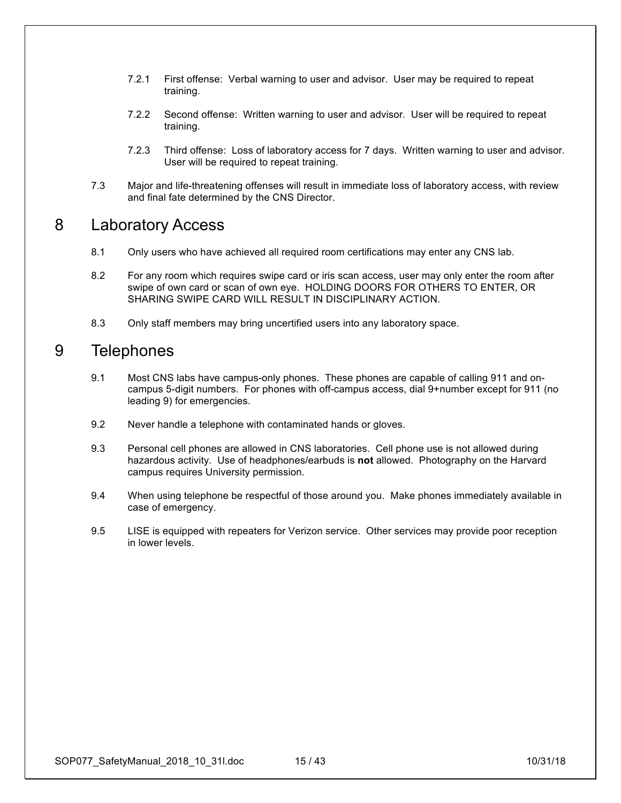- 7.2.1 First offense: Verbal warning to user and advisor. User may be required to repeat training.
- 7.2.2 Second offense: Written warning to user and advisor. User will be required to repeat training.
- 7.2.3 Third offense: Loss of laboratory access for 7 days. Written warning to user and advisor. User will be required to repeat training.
- 7.3 Major and life-threatening offenses will result in immediate loss of laboratory access, with review and final fate determined by the CNS Director.

### 8 Laboratory Access

- 8.1 Only users who have achieved all required room certifications may enter any CNS lab.
- 8.2 For any room which requires swipe card or iris scan access, user may only enter the room after swipe of own card or scan of own eye. HOLDING DOORS FOR OTHERS TO ENTER, OR SHARING SWIPE CARD WILL RESULT IN DISCIPLINARY ACTION.
- 8.3 Only staff members may bring uncertified users into any laboratory space.

## 9 Telephones

- 9.1 Most CNS labs have campus-only phones. These phones are capable of calling 911 and oncampus 5-digit numbers. For phones with off-campus access, dial 9+number except for 911 (no leading 9) for emergencies.
- 9.2 Never handle a telephone with contaminated hands or gloves.
- 9.3 Personal cell phones are allowed in CNS laboratories. Cell phone use is not allowed during hazardous activity. Use of headphones/earbuds is **not** allowed. Photography on the Harvard campus requires University permission.
- 9.4 When using telephone be respectful of those around you. Make phones immediately available in case of emergency.
- 9.5 LISE is equipped with repeaters for Verizon service. Other services may provide poor reception in lower levels.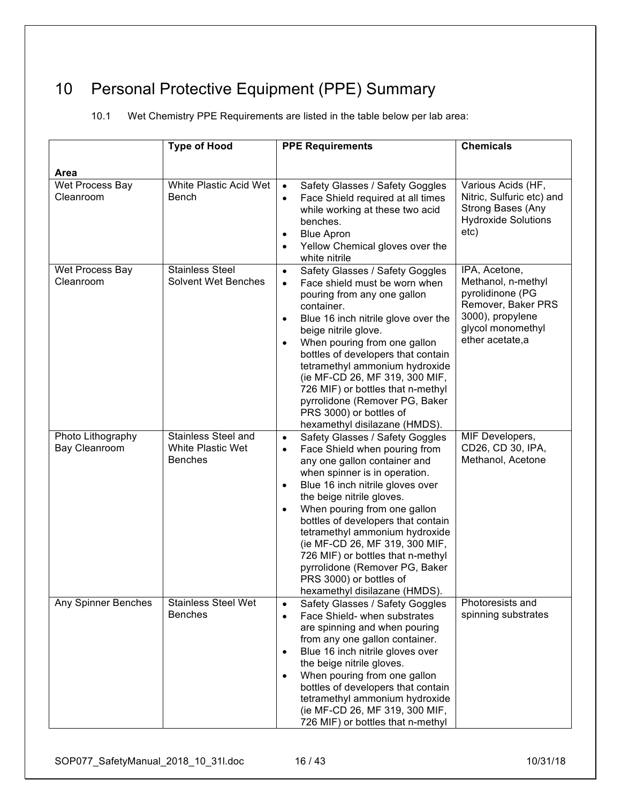# 10 Personal Protective Equipment (PPE) Summary

10.1 Wet Chemistry PPE Requirements are listed in the table below per lab area:

|                                    | <b>Type of Hood</b>                                                      | <b>PPE Requirements</b>                                                                                                                                                                                                                                                                                                                                                                                                                                                                                                             | <b>Chemicals</b>                                                                                                                          |
|------------------------------------|--------------------------------------------------------------------------|-------------------------------------------------------------------------------------------------------------------------------------------------------------------------------------------------------------------------------------------------------------------------------------------------------------------------------------------------------------------------------------------------------------------------------------------------------------------------------------------------------------------------------------|-------------------------------------------------------------------------------------------------------------------------------------------|
| <b>Area</b>                        |                                                                          |                                                                                                                                                                                                                                                                                                                                                                                                                                                                                                                                     |                                                                                                                                           |
| Wet Process Bay<br>Cleanroom       | White Plastic Acid Wet<br><b>Bench</b>                                   | Safety Glasses / Safety Goggles<br>$\bullet$<br>Face Shield required at all times<br>$\bullet$<br>while working at these two acid<br>benches.<br><b>Blue Apron</b><br>$\bullet$<br>Yellow Chemical gloves over the<br>white nitrile                                                                                                                                                                                                                                                                                                 | Various Acids (HF,<br>Nitric, Sulfuric etc) and<br>Strong Bases (Any<br><b>Hydroxide Solutions</b><br>etc)                                |
| Wet Process Bay<br>Cleanroom       | <b>Stainless Steel</b><br><b>Solvent Wet Benches</b>                     | Safety Glasses / Safety Goggles<br>$\bullet$<br>Face shield must be worn when<br>$\bullet$<br>pouring from any one gallon<br>container.<br>Blue 16 inch nitrile glove over the<br>beige nitrile glove.<br>When pouring from one gallon<br>bottles of developers that contain<br>tetramethyl ammonium hydroxide<br>(ie MF-CD 26, MF 319, 300 MIF,<br>726 MIF) or bottles that n-methyl<br>pyrrolidone (Remover PG, Baker<br>PRS 3000) or bottles of<br>hexamethyl disilazane (HMDS).                                                 | IPA, Acetone,<br>Methanol, n-methyl<br>pyrolidinone (PG<br>Remover, Baker PRS<br>3000), propylene<br>glycol monomethyl<br>ether acetate,a |
| Photo Lithography<br>Bay Cleanroom | <b>Stainless Steel and</b><br><b>White Plastic Wet</b><br><b>Benches</b> | Safety Glasses / Safety Goggles<br>$\bullet$<br>Face Shield when pouring from<br>$\bullet$<br>any one gallon container and<br>when spinner is in operation.<br>Blue 16 inch nitrile gloves over<br>$\bullet$<br>the beige nitrile gloves.<br>When pouring from one gallon<br>$\bullet$<br>bottles of developers that contain<br>tetramethyl ammonium hydroxide<br>(ie MF-CD 26, MF 319, 300 MIF,<br>726 MIF) or bottles that n-methyl<br>pyrrolidone (Remover PG, Baker<br>PRS 3000) or bottles of<br>hexamethyl disilazane (HMDS). | MIF Developers,<br>CD26, CD 30, IPA,<br>Methanol, Acetone                                                                                 |
| Any Spinner Benches                | <b>Stainless Steel Wet</b><br><b>Benches</b>                             | Safety Glasses / Safety Goggles<br>$\bullet$<br>Face Shield- when substrates<br>$\bullet$<br>are spinning and when pouring<br>from any one gallon container.<br>Blue 16 inch nitrile gloves over<br>the beige nitrile gloves.<br>When pouring from one gallon<br>bottles of developers that contain<br>tetramethyl ammonium hydroxide<br>(ie MF-CD 26, MF 319, 300 MIF,<br>726 MIF) or bottles that n-methyl                                                                                                                        | Photoresists and<br>spinning substrates                                                                                                   |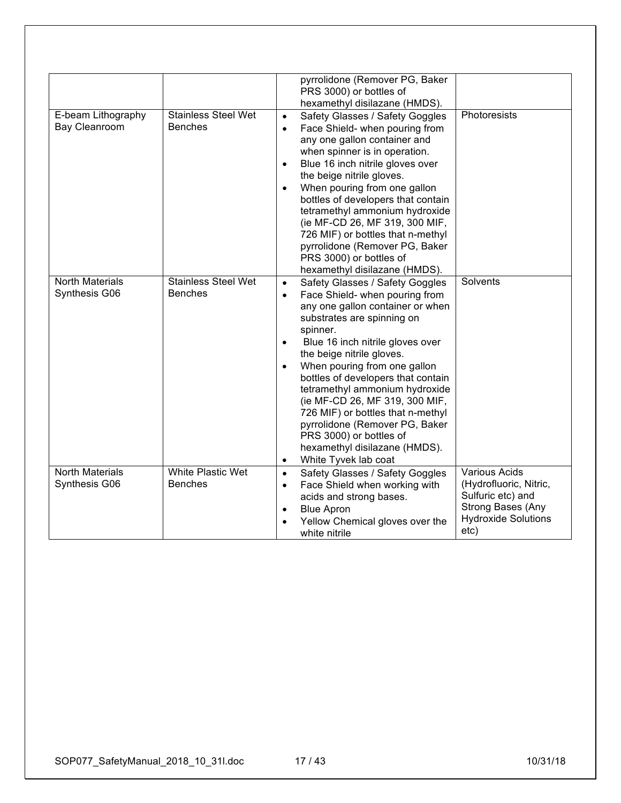| E-beam Lithography<br>Bay Cleanroom     | <b>Stainless Steel Wet</b><br><b>Benches</b> | pyrrolidone (Remover PG, Baker<br>PRS 3000) or bottles of<br>hexamethyl disilazane (HMDS).<br>Safety Glasses / Safety Goggles<br>$\bullet$<br>Face Shield- when pouring from<br>$\bullet$<br>any one gallon container and<br>when spinner is in operation.<br>Blue 16 inch nitrile gloves over<br>$\bullet$                                                                                                                                                                                                                                                                            | Photoresists                                                                                                            |
|-----------------------------------------|----------------------------------------------|----------------------------------------------------------------------------------------------------------------------------------------------------------------------------------------------------------------------------------------------------------------------------------------------------------------------------------------------------------------------------------------------------------------------------------------------------------------------------------------------------------------------------------------------------------------------------------------|-------------------------------------------------------------------------------------------------------------------------|
|                                         |                                              | the beige nitrile gloves.<br>When pouring from one gallon<br>$\bullet$<br>bottles of developers that contain<br>tetramethyl ammonium hydroxide<br>(ie MF-CD 26, MF 319, 300 MIF,<br>726 MIF) or bottles that n-methyl<br>pyrrolidone (Remover PG, Baker<br>PRS 3000) or bottles of<br>hexamethyl disilazane (HMDS).                                                                                                                                                                                                                                                                    |                                                                                                                         |
| <b>North Materials</b><br>Synthesis G06 | <b>Stainless Steel Wet</b><br><b>Benches</b> | Safety Glasses / Safety Goggles<br>$\bullet$<br>Face Shield- when pouring from<br>$\bullet$<br>any one gallon container or when<br>substrates are spinning on<br>spinner.<br>Blue 16 inch nitrile gloves over<br>$\bullet$<br>the beige nitrile gloves.<br>When pouring from one gallon<br>$\bullet$<br>bottles of developers that contain<br>tetramethyl ammonium hydroxide<br>(ie MF-CD 26, MF 319, 300 MIF,<br>726 MIF) or bottles that n-methyl<br>pyrrolidone (Remover PG, Baker<br>PRS 3000) or bottles of<br>hexamethyl disilazane (HMDS).<br>White Tyvek lab coat<br>$\bullet$ | <b>Solvents</b>                                                                                                         |
| <b>North Materials</b><br>Synthesis G06 | <b>White Plastic Wet</b><br><b>Benches</b>   | Safety Glasses / Safety Goggles<br>$\bullet$<br>Face Shield when working with<br>$\bullet$<br>acids and strong bases.<br><b>Blue Apron</b><br>$\bullet$<br>Yellow Chemical gloves over the<br>$\bullet$<br>white nitrile                                                                                                                                                                                                                                                                                                                                                               | Various Acids<br>(Hydrofluoric, Nitric,<br>Sulfuric etc) and<br>Strong Bases (Any<br><b>Hydroxide Solutions</b><br>etc) |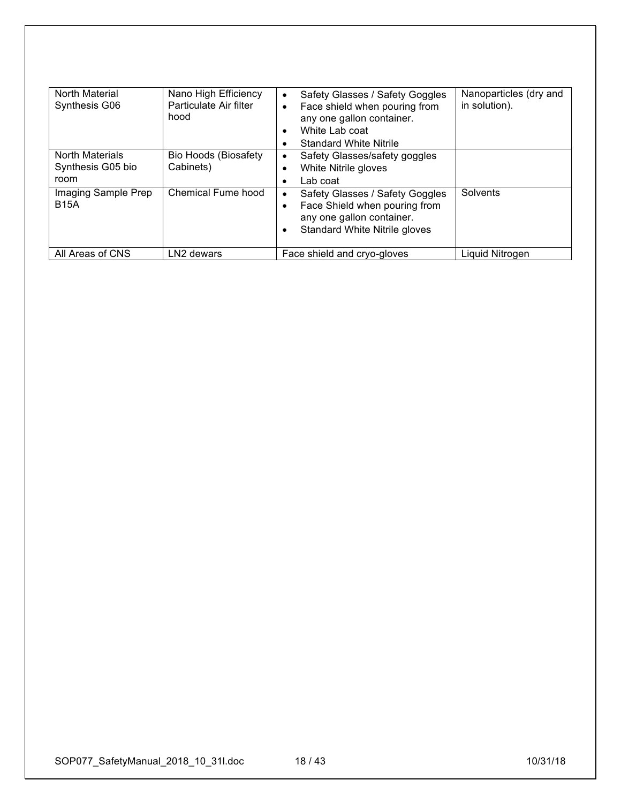| <b>North Material</b><br>Synthesis G06              | Nano High Efficiency<br>Particulate Air filter<br>hood | Safety Glasses / Safety Goggles<br>$\bullet$<br>Face shield when pouring from<br>$\bullet$<br>any one gallon container.<br>White Lab coat<br>$\bullet$<br><b>Standard White Nitrile</b> | Nanoparticles (dry and<br>in solution). |
|-----------------------------------------------------|--------------------------------------------------------|-----------------------------------------------------------------------------------------------------------------------------------------------------------------------------------------|-----------------------------------------|
| <b>North Materials</b><br>Synthesis G05 bio<br>room | <b>Bio Hoods (Biosafety</b><br>Cabinets)               | Safety Glasses/safety goggles<br>White Nitrile gloves<br>Lab coat                                                                                                                       |                                         |
| Imaging Sample Prep<br><b>B15A</b>                  | Chemical Fume hood                                     | Safety Glasses / Safety Goggles<br>Face Shield when pouring from<br>any one gallon container.<br><b>Standard White Nitrile gloves</b>                                                   | Solvents                                |
| All Areas of CNS                                    | LN <sub>2</sub> dewars                                 | Face shield and cryo-gloves                                                                                                                                                             | Liquid Nitrogen                         |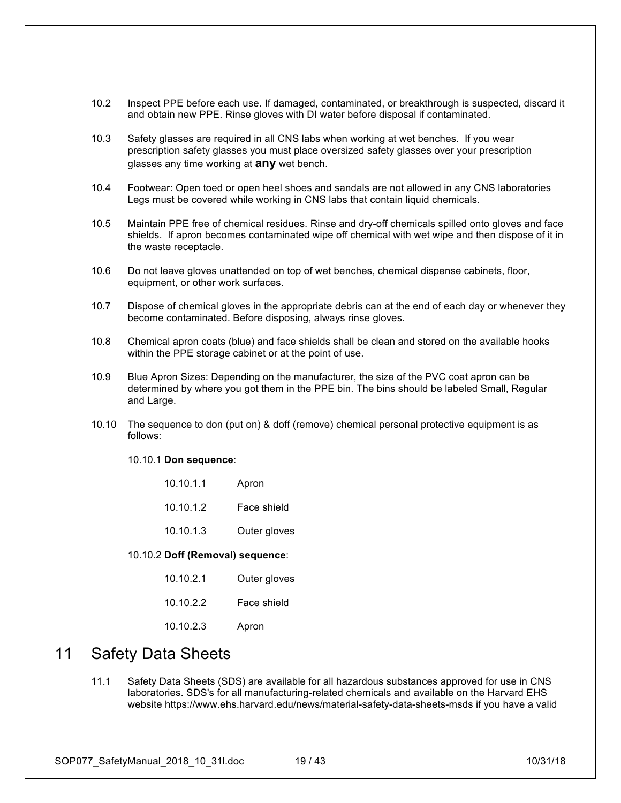- 10.2 Inspect PPE before each use. If damaged, contaminated, or breakthrough is suspected, discard it and obtain new PPE. Rinse gloves with DI water before disposal if contaminated.
- 10.3 Safety glasses are required in all CNS labs when working at wet benches. If you wear prescription safety glasses you must place oversized safety glasses over your prescription glasses any time working at **any** wet bench.
- 10.4 Footwear: Open toed or open heel shoes and sandals are not allowed in any CNS laboratories Legs must be covered while working in CNS labs that contain liquid chemicals.
- 10.5 Maintain PPE free of chemical residues. Rinse and dry-off chemicals spilled onto gloves and face shields. If apron becomes contaminated wipe off chemical with wet wipe and then dispose of it in the waste receptacle.
- 10.6 Do not leave gloves unattended on top of wet benches, chemical dispense cabinets, floor, equipment, or other work surfaces.
- 10.7 Dispose of chemical gloves in the appropriate debris can at the end of each day or whenever they become contaminated. Before disposing, always rinse gloves.
- 10.8 Chemical apron coats (blue) and face shields shall be clean and stored on the available hooks within the PPE storage cabinet or at the point of use.
- 10.9 Blue Apron Sizes: Depending on the manufacturer, the size of the PVC coat apron can be determined by where you got them in the PPE bin. The bins should be labeled Small, Regular and Large.
- 10.10 The sequence to don (put on) & doff (remove) chemical personal protective equipment is as follows:

10.10.1 **Don sequence**:

| 10.10.1.1 | Apron |
|-----------|-------|
|-----------|-------|

- 10.10.1.2 Face shield
- 10.10.1.3 Outer gloves

### 10.10.2 **Doff (Removal) sequence**:

- 10.10.2.1 Outer gloves
- 10.10.2.2 Face shield
- 10.10.2.3 Apron

## 11 Safety Data Sheets

11.1 Safety Data Sheets (SDS) are available for all hazardous substances approved for use in CNS laboratories. SDS's for all manufacturing-related chemicals and available on the Harvard EHS website https://www.ehs.harvard.edu/news/material-safety-data-sheets-msds if you have a valid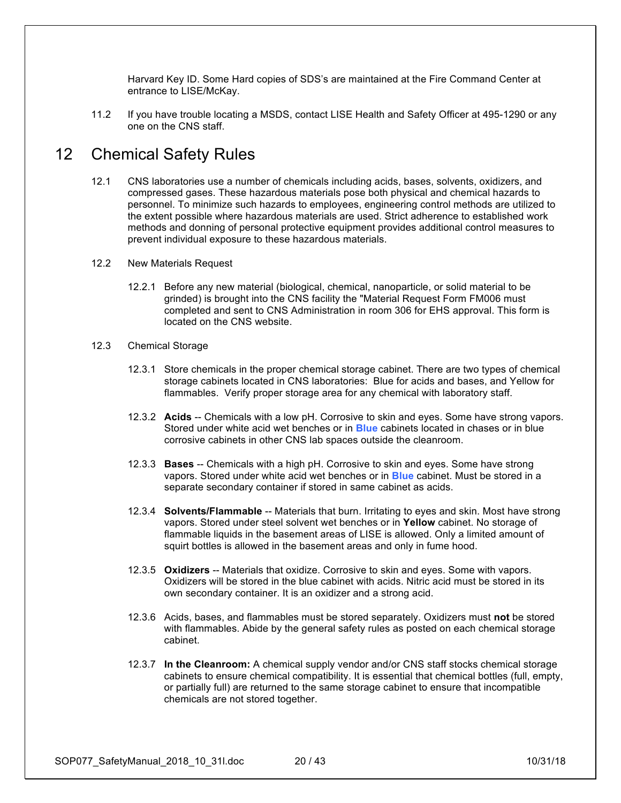Harvard Key ID. Some Hard copies of SDS's are maintained at the Fire Command Center at entrance to LISE/McKay.

11.2 If you have trouble locating a MSDS, contact LISE Health and Safety Officer at 495-1290 or any one on the CNS staff.

### 12 Chemical Safety Rules

- 12.1 CNS laboratories use a number of chemicals including acids, bases, solvents, oxidizers, and compressed gases. These hazardous materials pose both physical and chemical hazards to personnel. To minimize such hazards to employees, engineering control methods are utilized to the extent possible where hazardous materials are used. Strict adherence to established work methods and donning of personal protective equipment provides additional control measures to prevent individual exposure to these hazardous materials.
- 12.2 New Materials Request
	- 12.2.1 Before any new material (biological, chemical, nanoparticle, or solid material to be grinded) is brought into the CNS facility the "Material Request Form FM006 must completed and sent to CNS Administration in room 306 for EHS approval. This form is located on the CNS website.
- 12.3 Chemical Storage
	- 12.3.1 Store chemicals in the proper chemical storage cabinet. There are two types of chemical storage cabinets located in CNS laboratories: Blue for acids and bases, and Yellow for flammables. Verify proper storage area for any chemical with laboratory staff.
	- 12.3.2 **Acids** -- Chemicals with a low pH. Corrosive to skin and eyes. Some have strong vapors. Stored under white acid wet benches or in **Blue** cabinets located in chases or in blue corrosive cabinets in other CNS lab spaces outside the cleanroom.
	- 12.3.3 **Bases** -- Chemicals with a high pH. Corrosive to skin and eyes. Some have strong vapors. Stored under white acid wet benches or in **Blue** cabinet. Must be stored in a separate secondary container if stored in same cabinet as acids.
	- 12.3.4 **Solvents/Flammable** -- Materials that burn. Irritating to eyes and skin. Most have strong vapors. Stored under steel solvent wet benches or in **Yellow** cabinet. No storage of flammable liquids in the basement areas of LISE is allowed. Only a limited amount of squirt bottles is allowed in the basement areas and only in fume hood.
	- 12.3.5 **Oxidizers** -- Materials that oxidize. Corrosive to skin and eyes. Some with vapors. Oxidizers will be stored in the blue cabinet with acids. Nitric acid must be stored in its own secondary container. It is an oxidizer and a strong acid.
	- 12.3.6 Acids, bases, and flammables must be stored separately. Oxidizers must **not** be stored with flammables. Abide by the general safety rules as posted on each chemical storage cabinet.
	- 12.3.7 **In the Cleanroom:** A chemical supply vendor and/or CNS staff stocks chemical storage cabinets to ensure chemical compatibility. It is essential that chemical bottles (full, empty, or partially full) are returned to the same storage cabinet to ensure that incompatible chemicals are not stored together.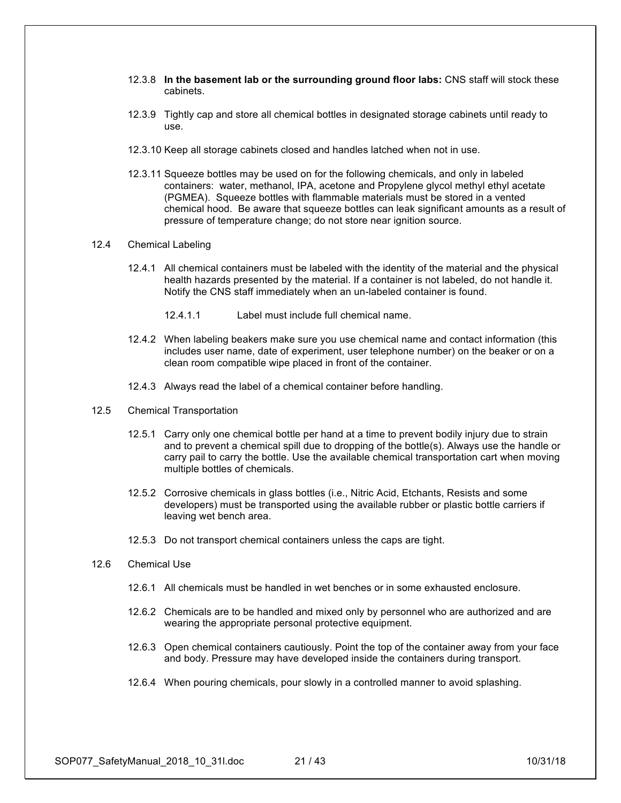- 12.3.8 **In the basement lab or the surrounding ground floor labs:** CNS staff will stock these cabinets.
- 12.3.9 Tightly cap and store all chemical bottles in designated storage cabinets until ready to use.
- 12.3.10 Keep all storage cabinets closed and handles latched when not in use.
- 12.3.11 Squeeze bottles may be used on for the following chemicals, and only in labeled containers: water, methanol, IPA, acetone and Propylene glycol methyl ethyl acetate (PGMEA). Squeeze bottles with flammable materials must be stored in a vented chemical hood. Be aware that squeeze bottles can leak significant amounts as a result of pressure of temperature change; do not store near ignition source.

#### 12.4 Chemical Labeling

- 12.4.1 All chemical containers must be labeled with the identity of the material and the physical health hazards presented by the material. If a container is not labeled, do not handle it. Notify the CNS staff immediately when an un-labeled container is found.
	- 12.4.1.1 Label must include full chemical name.
- 12.4.2 When labeling beakers make sure you use chemical name and contact information (this includes user name, date of experiment, user telephone number) on the beaker or on a clean room compatible wipe placed in front of the container.
- 12.4.3 Always read the label of a chemical container before handling.
- 12.5 Chemical Transportation
	- 12.5.1 Carry only one chemical bottle per hand at a time to prevent bodily injury due to strain and to prevent a chemical spill due to dropping of the bottle(s). Always use the handle or carry pail to carry the bottle. Use the available chemical transportation cart when moving multiple bottles of chemicals.
	- 12.5.2 Corrosive chemicals in glass bottles (i.e., Nitric Acid, Etchants, Resists and some developers) must be transported using the available rubber or plastic bottle carriers if leaving wet bench area.
	- 12.5.3 Do not transport chemical containers unless the caps are tight.
- 12.6 Chemical Use
	- 12.6.1 All chemicals must be handled in wet benches or in some exhausted enclosure.
	- 12.6.2 Chemicals are to be handled and mixed only by personnel who are authorized and are wearing the appropriate personal protective equipment.
	- 12.6.3 Open chemical containers cautiously. Point the top of the container away from your face and body. Pressure may have developed inside the containers during transport.
	- 12.6.4 When pouring chemicals, pour slowly in a controlled manner to avoid splashing.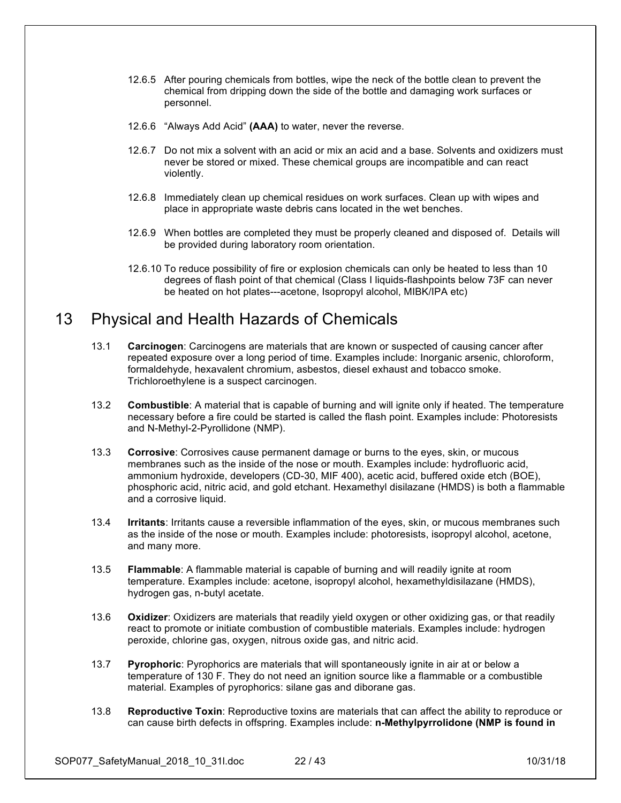- 12.6.5 After pouring chemicals from bottles, wipe the neck of the bottle clean to prevent the chemical from dripping down the side of the bottle and damaging work surfaces or personnel.
- 12.6.6 "Always Add Acid" **(AAA)** to water, never the reverse.
- 12.6.7 Do not mix a solvent with an acid or mix an acid and a base. Solvents and oxidizers must never be stored or mixed. These chemical groups are incompatible and can react violently.
- 12.6.8 Immediately clean up chemical residues on work surfaces. Clean up with wipes and place in appropriate waste debris cans located in the wet benches.
- 12.6.9 When bottles are completed they must be properly cleaned and disposed of. Details will be provided during laboratory room orientation.
- 12.6.10 To reduce possibility of fire or explosion chemicals can only be heated to less than 10 degrees of flash point of that chemical (Class I liquids-flashpoints below 73F can never be heated on hot plates---acetone, Isopropyl alcohol, MIBK/IPA etc)

## 13 Physical and Health Hazards of Chemicals

- 13.1 **Carcinogen**: Carcinogens are materials that are known or suspected of causing cancer after repeated exposure over a long period of time. Examples include: Inorganic arsenic, chloroform, formaldehyde, hexavalent chromium, asbestos, diesel exhaust and tobacco smoke. Trichloroethylene is a suspect carcinogen.
- 13.2 **Combustible**: A material that is capable of burning and will ignite only if heated. The temperature necessary before a fire could be started is called the flash point. Examples include: Photoresists and N-Methyl-2-Pyrollidone (NMP).
- 13.3 **Corrosive**: Corrosives cause permanent damage or burns to the eyes, skin, or mucous membranes such as the inside of the nose or mouth. Examples include: hydrofluoric acid, ammonium hydroxide, developers (CD-30, MIF 400), acetic acid, buffered oxide etch (BOE), phosphoric acid, nitric acid, and gold etchant. Hexamethyl disilazane (HMDS) is both a flammable and a corrosive liquid.
- 13.4 **Irritants**: Irritants cause a reversible inflammation of the eyes, skin, or mucous membranes such as the inside of the nose or mouth. Examples include: photoresists, isopropyl alcohol, acetone, and many more.
- 13.5 **Flammable**: A flammable material is capable of burning and will readily ignite at room temperature. Examples include: acetone, isopropyl alcohol, hexamethyldisilazane (HMDS), hydrogen gas, n-butyl acetate.
- 13.6 **Oxidizer**: Oxidizers are materials that readily yield oxygen or other oxidizing gas, or that readily react to promote or initiate combustion of combustible materials. Examples include: hydrogen peroxide, chlorine gas, oxygen, nitrous oxide gas, and nitric acid.
- 13.7 **Pyrophoric**: Pyrophorics are materials that will spontaneously ignite in air at or below a temperature of 130 F. They do not need an ignition source like a flammable or a combustible material. Examples of pyrophorics: silane gas and diborane gas.
- 13.8 **Reproductive Toxin**: Reproductive toxins are materials that can affect the ability to reproduce or can cause birth defects in offspring. Examples include: **n-Methylpyrrolidone (NMP is found in**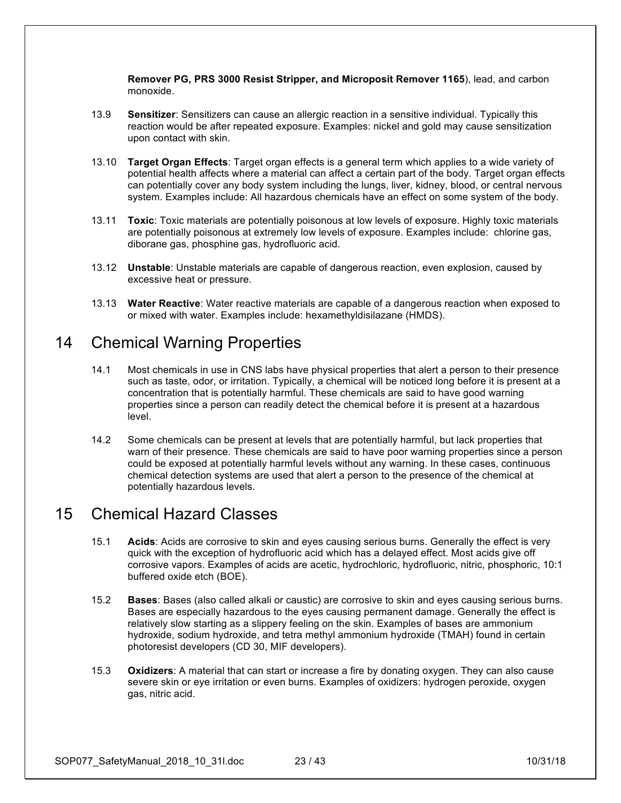**Remover PG, PRS 3000 Resist Stripper, and Microposit Remover 1165**), lead, and carbon monoxide.

- 13.9 **Sensitizer**: Sensitizers can cause an allergic reaction in a sensitive individual. Typically this reaction would be after repeated exposure. Examples: nickel and gold may cause sensitization upon contact with skin.
- 13.10 **Target Organ Effects**: Target organ effects is a general term which applies to a wide variety of potential health affects where a material can affect a certain part of the body. Target organ effects can potentially cover any body system including the lungs, liver, kidney, blood, or central nervous system. Examples include: All hazardous chemicals have an effect on some system of the body.
- 13.11 **Toxic**: Toxic materials are potentially poisonous at low levels of exposure. Highly toxic materials are potentially poisonous at extremely low levels of exposure. Examples include: chlorine gas, diborane gas, phosphine gas, hydrofluoric acid.
- 13.12 **Unstable**: Unstable materials are capable of dangerous reaction, even explosion, caused by excessive heat or pressure.
- 13.13 **Water Reactive**: Water reactive materials are capable of a dangerous reaction when exposed to or mixed with water. Examples include: hexamethyldisilazane (HMDS).

## 14 Chemical Warning Properties

- 14.1 Most chemicals in use in CNS labs have physical properties that alert a person to their presence such as taste, odor, or irritation. Typically, a chemical will be noticed long before it is present at a concentration that is potentially harmful. These chemicals are said to have good warning properties since a person can readily detect the chemical before it is present at a hazardous level.
- 14.2 Some chemicals can be present at levels that are potentially harmful, but lack properties that warn of their presence. These chemicals are said to have poor warning properties since a person could be exposed at potentially harmful levels without any warning. In these cases, continuous chemical detection systems are used that alert a person to the presence of the chemical at potentially hazardous levels.

## 15 Chemical Hazard Classes

- 15.1 **Acids**: Acids are corrosive to skin and eyes causing serious burns. Generally the effect is very quick with the exception of hydrofluoric acid which has a delayed effect. Most acids give off corrosive vapors. Examples of acids are acetic, hydrochloric, hydrofluoric, nitric, phosphoric, 10:1 buffered oxide etch (BOE).
- 15.2 **Bases**: Bases (also called alkali or caustic) are corrosive to skin and eyes causing serious burns. Bases are especially hazardous to the eyes causing permanent damage. Generally the effect is relatively slow starting as a slippery feeling on the skin. Examples of bases are ammonium hydroxide, sodium hydroxide, and tetra methyl ammonium hydroxide (TMAH) found in certain photoresist developers (CD 30, MIF developers).
- 15.3 **Oxidizers**: A material that can start or increase a fire by donating oxygen. They can also cause severe skin or eye irritation or even burns. Examples of oxidizers: hydrogen peroxide, oxygen gas, nitric acid.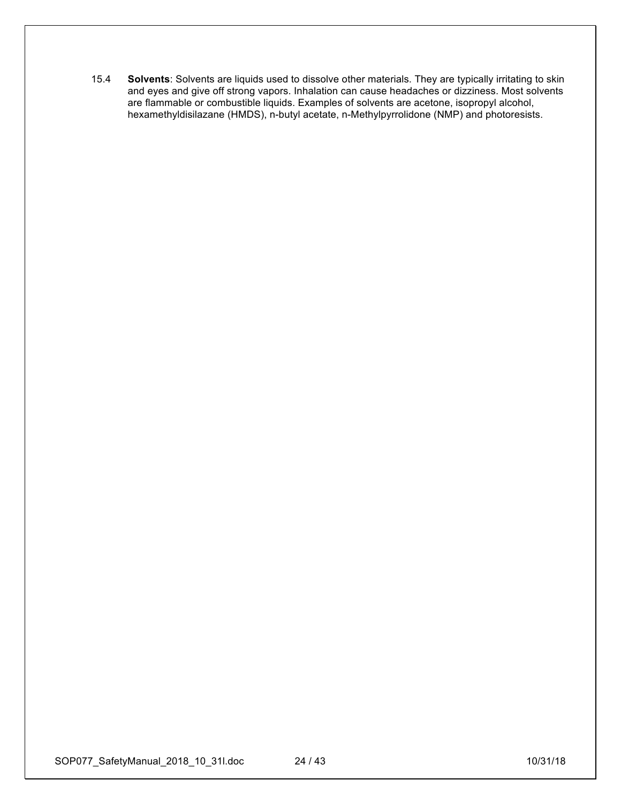15.4 **Solvents**: Solvents are liquids used to dissolve other materials. They are typically irritating to skin and eyes and give off strong vapors. Inhalation can cause headaches or dizziness. Most solvents are flammable or combustible liquids. Examples of solvents are acetone, isopropyl alcohol, hexamethyldisilazane (HMDS), n-butyl acetate, n-Methylpyrrolidone (NMP) and photoresists.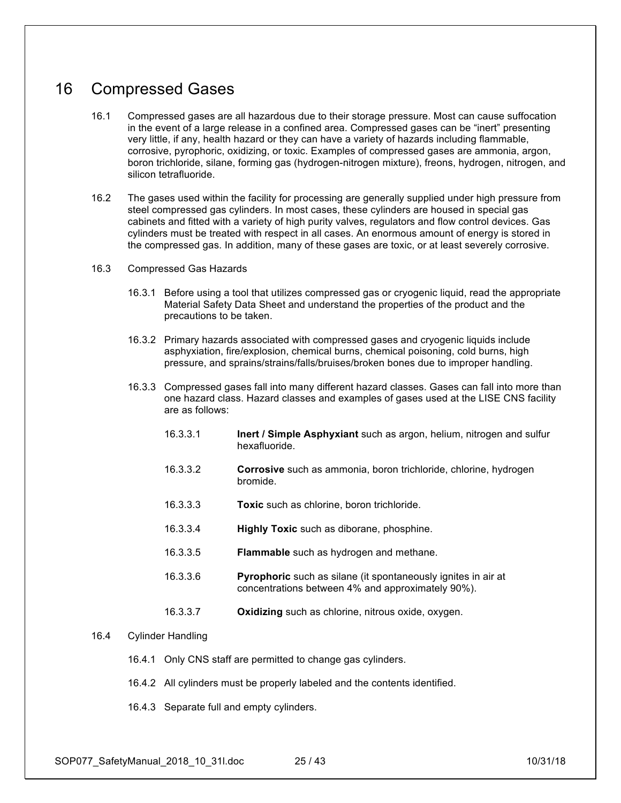## 16 Compressed Gases

- 16.1 Compressed gases are all hazardous due to their storage pressure. Most can cause suffocation in the event of a large release in a confined area. Compressed gases can be "inert" presenting very little, if any, health hazard or they can have a variety of hazards including flammable, corrosive, pyrophoric, oxidizing, or toxic. Examples of compressed gases are ammonia, argon, boron trichloride, silane, forming gas (hydrogen-nitrogen mixture), freons, hydrogen, nitrogen, and silicon tetrafluoride.
- 16.2 The gases used within the facility for processing are generally supplied under high pressure from steel compressed gas cylinders. In most cases, these cylinders are housed in special gas cabinets and fitted with a variety of high purity valves, regulators and flow control devices. Gas cylinders must be treated with respect in all cases. An enormous amount of energy is stored in the compressed gas. In addition, many of these gases are toxic, or at least severely corrosive.
- 16.3 Compressed Gas Hazards
	- 16.3.1 Before using a tool that utilizes compressed gas or cryogenic liquid, read the appropriate Material Safety Data Sheet and understand the properties of the product and the precautions to be taken.
	- 16.3.2 Primary hazards associated with compressed gases and cryogenic liquids include asphyxiation, fire/explosion, chemical burns, chemical poisoning, cold burns, high pressure, and sprains/strains/falls/bruises/broken bones due to improper handling.
	- 16.3.3 Compressed gases fall into many different hazard classes. Gases can fall into more than one hazard class. Hazard classes and examples of gases used at the LISE CNS facility are as follows:
		- 16.3.3.1 **Inert / Simple Asphyxiant** such as argon, helium, nitrogen and sulfur hexafluoride.
		- 16.3.3.2 **Corrosive** such as ammonia, boron trichloride, chlorine, hydrogen bromide.
		- 16.3.3.3 **Toxic** such as chlorine, boron trichloride.
		- 16.3.3.4 **Highly Toxic** such as diborane, phosphine.
		- 16.3.3.5 **Flammable** such as hydrogen and methane.
		- 16.3.3.6 **Pyrophoric** such as silane (it spontaneously ignites in air at concentrations between 4% and approximately 90%).
		- 16.3.3.7 **Oxidizing** such as chlorine, nitrous oxide, oxygen.
- 16.4 Cylinder Handling
	- 16.4.1 Only CNS staff are permitted to change gas cylinders.
	- 16.4.2 All cylinders must be properly labeled and the contents identified.
	- 16.4.3 Separate full and empty cylinders.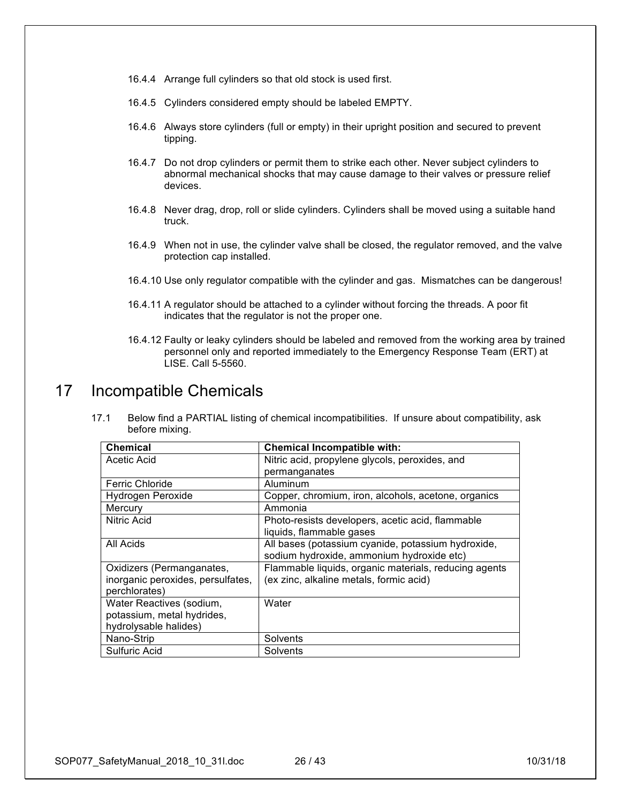- 16.4.4 Arrange full cylinders so that old stock is used first.
- 16.4.5 Cylinders considered empty should be labeled EMPTY.
- 16.4.6 Always store cylinders (full or empty) in their upright position and secured to prevent tipping.
- 16.4.7 Do not drop cylinders or permit them to strike each other. Never subject cylinders to abnormal mechanical shocks that may cause damage to their valves or pressure relief devices.
- 16.4.8 Never drag, drop, roll or slide cylinders. Cylinders shall be moved using a suitable hand truck.
- 16.4.9 When not in use, the cylinder valve shall be closed, the regulator removed, and the valve protection cap installed.
- 16.4.10 Use only regulator compatible with the cylinder and gas. Mismatches can be dangerous!
- 16.4.11 A regulator should be attached to a cylinder without forcing the threads. A poor fit indicates that the regulator is not the proper one.
- 16.4.12 Faulty or leaky cylinders should be labeled and removed from the working area by trained personnel only and reported immediately to the Emergency Response Team (ERT) at LISE. Call 5-5560.

### 17 Incompatible Chemicals

17.1 Below find a PARTIAL listing of chemical incompatibilities. If unsure about compatibility, ask before mixing.

| <b>Chemical</b>                   | <b>Chemical Incompatible with:</b>                    |
|-----------------------------------|-------------------------------------------------------|
| Acetic Acid                       | Nitric acid, propylene glycols, peroxides, and        |
|                                   | permanganates                                         |
| <b>Ferric Chloride</b>            | Aluminum                                              |
| Hydrogen Peroxide                 | Copper, chromium, iron, alcohols, acetone, organics   |
| Mercury                           | Ammonia                                               |
| Nitric Acid                       | Photo-resists developers, acetic acid, flammable      |
|                                   | liquids, flammable gases                              |
| All Acids                         | All bases (potassium cyanide, potassium hydroxide,    |
|                                   | sodium hydroxide, ammonium hydroxide etc)             |
| Oxidizers (Permanganates,         | Flammable liquids, organic materials, reducing agents |
| inorganic peroxides, persulfates, | (ex zinc, alkaline metals, formic acid)               |
| perchlorates)                     |                                                       |
| Water Reactives (sodium,          | Water                                                 |
| potassium, metal hydrides,        |                                                       |
| hydrolysable halides)             |                                                       |
| Nano-Strip                        | Solvents                                              |
| <b>Sulfuric Acid</b>              | Solvents                                              |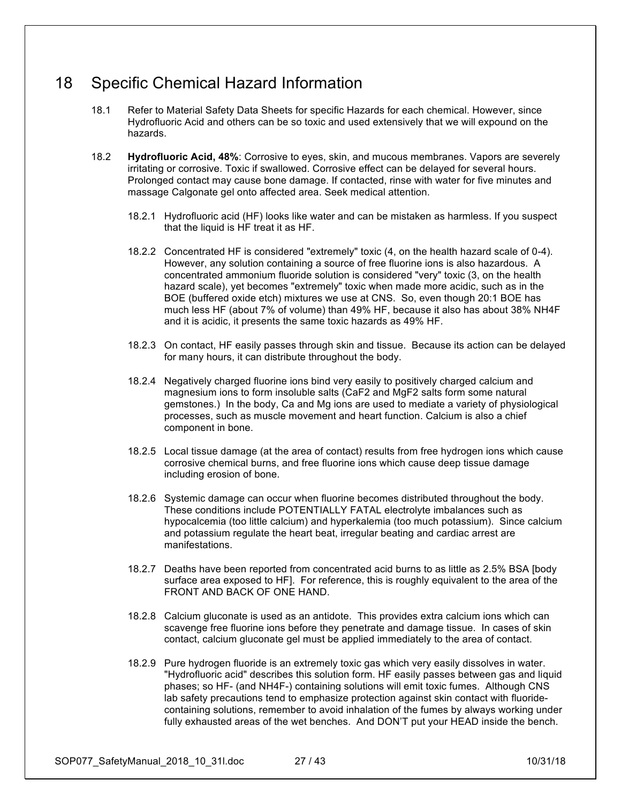## 18 Specific Chemical Hazard Information

- 18.1 Refer to Material Safety Data Sheets for specific Hazards for each chemical. However, since Hydrofluoric Acid and others can be so toxic and used extensively that we will expound on the hazards.
- 18.2 **Hydrofluoric Acid, 48%**: Corrosive to eyes, skin, and mucous membranes. Vapors are severely irritating or corrosive. Toxic if swallowed. Corrosive effect can be delayed for several hours. Prolonged contact may cause bone damage. If contacted, rinse with water for five minutes and massage Calgonate gel onto affected area. Seek medical attention.
	- 18.2.1 Hydrofluoric acid (HF) looks like water and can be mistaken as harmless. If you suspect that the liquid is HF treat it as HF.
	- 18.2.2 Concentrated HF is considered "extremely" toxic (4, on the health hazard scale of 0-4). However, any solution containing a source of free fluorine ions is also hazardous. A concentrated ammonium fluoride solution is considered "very" toxic (3, on the health hazard scale), yet becomes "extremely" toxic when made more acidic, such as in the BOE (buffered oxide etch) mixtures we use at CNS. So, even though 20:1 BOE has much less HF (about 7% of volume) than 49% HF, because it also has about 38% NH4F and it is acidic, it presents the same toxic hazards as 49% HF.
	- 18.2.3 On contact, HF easily passes through skin and tissue. Because its action can be delayed for many hours, it can distribute throughout the body.
	- 18.2.4 Negatively charged fluorine ions bind very easily to positively charged calcium and magnesium ions to form insoluble salts (CaF2 and MgF2 salts form some natural gemstones.) In the body, Ca and Mg ions are used to mediate a variety of physiological processes, such as muscle movement and heart function. Calcium is also a chief component in bone.
	- 18.2.5 Local tissue damage (at the area of contact) results from free hydrogen ions which cause corrosive chemical burns, and free fluorine ions which cause deep tissue damage including erosion of bone.
	- 18.2.6 Systemic damage can occur when fluorine becomes distributed throughout the body. These conditions include POTENTIALLY FATAL electrolyte imbalances such as hypocalcemia (too little calcium) and hyperkalemia (too much potassium). Since calcium and potassium regulate the heart beat, irregular beating and cardiac arrest are manifestations.
	- 18.2.7 Deaths have been reported from concentrated acid burns to as little as 2.5% BSA [body surface area exposed to HF]. For reference, this is roughly equivalent to the area of the FRONT AND BACK OF ONE HAND.
	- 18.2.8 Calcium gluconate is used as an antidote. This provides extra calcium ions which can scavenge free fluorine ions before they penetrate and damage tissue. In cases of skin contact, calcium gluconate gel must be applied immediately to the area of contact.
	- 18.2.9 Pure hydrogen fluoride is an extremely toxic gas which very easily dissolves in water. "Hydrofluoric acid" describes this solution form. HF easily passes between gas and liquid phases; so HF- (and NH4F-) containing solutions will emit toxic fumes. Although CNS lab safety precautions tend to emphasize protection against skin contact with fluoridecontaining solutions, remember to avoid inhalation of the fumes by always working under fully exhausted areas of the wet benches. And DON'T put your HEAD inside the bench.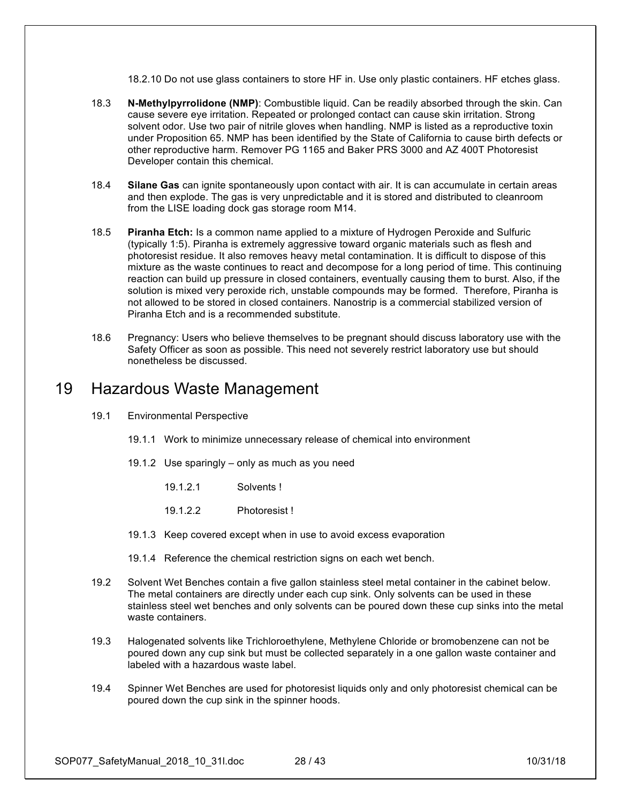18.2.10 Do not use glass containers to store HF in. Use only plastic containers. HF etches glass.

- 18.3 **N-Methylpyrrolidone (NMP)**: Combustible liquid. Can be readily absorbed through the skin. Can cause severe eye irritation. Repeated or prolonged contact can cause skin irritation. Strong solvent odor. Use two pair of nitrile gloves when handling. NMP is listed as a reproductive toxin under Proposition 65. NMP has been identified by the State of California to cause birth defects or other reproductive harm. Remover PG 1165 and Baker PRS 3000 and AZ 400T Photoresist Developer contain this chemical.
- 18.4 **Silane Gas** can ignite spontaneously upon contact with air. It is can accumulate in certain areas and then explode. The gas is very unpredictable and it is stored and distributed to cleanroom from the LISE loading dock gas storage room M14.
- 18.5 **Piranha Etch:** Is a common name applied to a mixture of Hydrogen Peroxide and Sulfuric (typically 1:5). Piranha is extremely aggressive toward organic materials such as flesh and photoresist residue. It also removes heavy metal contamination. It is difficult to dispose of this mixture as the waste continues to react and decompose for a long period of time. This continuing reaction can build up pressure in closed containers, eventually causing them to burst. Also, if the solution is mixed very peroxide rich, unstable compounds may be formed. Therefore, Piranha is not allowed to be stored in closed containers. Nanostrip is a commercial stabilized version of Piranha Etch and is a recommended substitute.
- 18.6 Pregnancy: Users who believe themselves to be pregnant should discuss laboratory use with the Safety Officer as soon as possible. This need not severely restrict laboratory use but should nonetheless be discussed.

### 19 Hazardous Waste Management

- 19.1 Environmental Perspective
	- 19.1.1 Work to minimize unnecessary release of chemical into environment
	- 19.1.2 Use sparingly only as much as you need
		- 19.1.2.1 Solvents !
		- 19.1.2.2 Photoresist !
	- 19.1.3 Keep covered except when in use to avoid excess evaporation
	- 19.1.4 Reference the chemical restriction signs on each wet bench.
- 19.2 Solvent Wet Benches contain a five gallon stainless steel metal container in the cabinet below. The metal containers are directly under each cup sink. Only solvents can be used in these stainless steel wet benches and only solvents can be poured down these cup sinks into the metal waste containers.
- 19.3 Halogenated solvents like Trichloroethylene, Methylene Chloride or bromobenzene can not be poured down any cup sink but must be collected separately in a one gallon waste container and labeled with a hazardous waste label.
- 19.4 Spinner Wet Benches are used for photoresist liquids only and only photoresist chemical can be poured down the cup sink in the spinner hoods.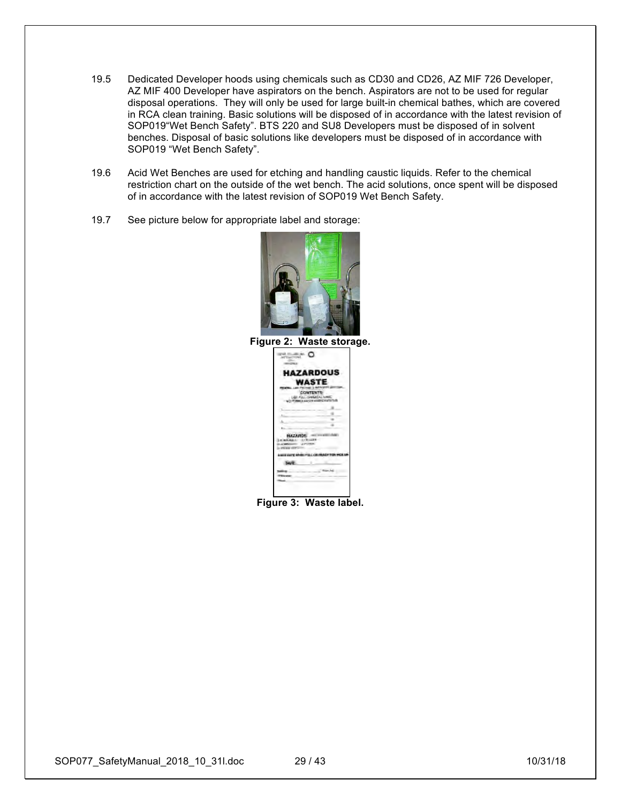- 19.5 Dedicated Developer hoods using chemicals such as CD30 and CD26, AZ MIF 726 Developer, AZ MIF 400 Developer have aspirators on the bench. Aspirators are not to be used for regular disposal operations. They will only be used for large built-in chemical bathes, which are covered in RCA clean training. Basic solutions will be disposed of in accordance with the latest revision of SOP019"Wet Bench Safety". BTS 220 and SU8 Developers must be disposed of in solvent benches. Disposal of basic solutions like developers must be disposed of in accordance with SOP019 "Wet Bench Safety".
- 19.6 Acid Wet Benches are used for etching and handling caustic liquids. Refer to the chemical restriction chart on the outside of the wet bench. The acid solutions, once spent will be disposed of in accordance with the latest revision of SOP019 Wet Bench Safety.
- 19.7 See picture below for appropriate label and storage:





**Figure 3: Waste label.**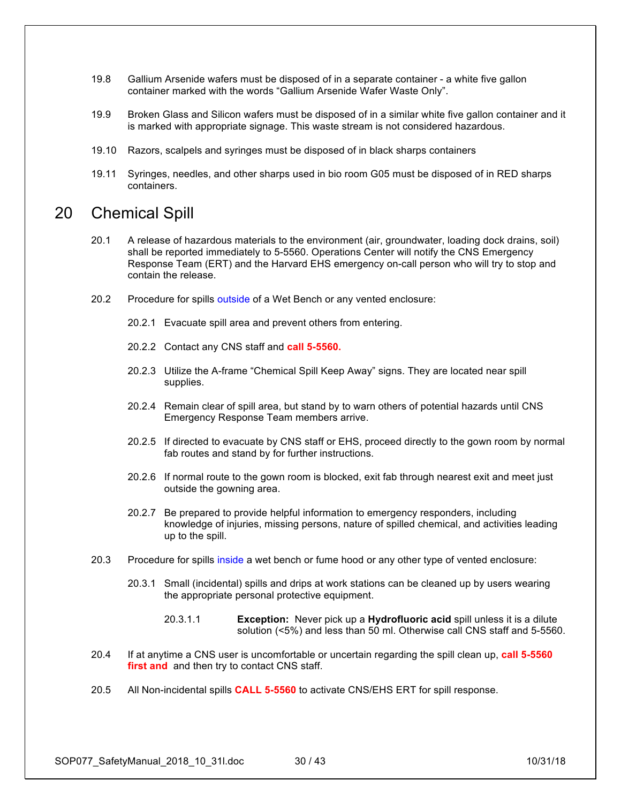- 19.8 Gallium Arsenide wafers must be disposed of in a separate container a white five gallon container marked with the words "Gallium Arsenide Wafer Waste Only".
- 19.9 Broken Glass and Silicon wafers must be disposed of in a similar white five gallon container and it is marked with appropriate signage. This waste stream is not considered hazardous.
- 19.10 Razors, scalpels and syringes must be disposed of in black sharps containers
- 19.11 Syringes, needles, and other sharps used in bio room G05 must be disposed of in RED sharps containers.

### 20 Chemical Spill

- 20.1 A release of hazardous materials to the environment (air, groundwater, loading dock drains, soil) shall be reported immediately to 5-5560. Operations Center will notify the CNS Emergency Response Team (ERT) and the Harvard EHS emergency on-call person who will try to stop and contain the release.
- 20.2 Procedure for spills outside of a Wet Bench or any vented enclosure:
	- 20.2.1 Evacuate spill area and prevent others from entering.
	- 20.2.2 Contact any CNS staff and **call 5-5560.**
	- 20.2.3 Utilize the A-frame "Chemical Spill Keep Away" signs. They are located near spill supplies.
	- 20.2.4 Remain clear of spill area, but stand by to warn others of potential hazards until CNS Emergency Response Team members arrive.
	- 20.2.5 If directed to evacuate by CNS staff or EHS, proceed directly to the gown room by normal fab routes and stand by for further instructions.
	- 20.2.6 If normal route to the gown room is blocked, exit fab through nearest exit and meet just outside the gowning area.
	- 20.2.7 Be prepared to provide helpful information to emergency responders, including knowledge of injuries, missing persons, nature of spilled chemical, and activities leading up to the spill.
- 20.3 Procedure for spills inside a wet bench or fume hood or any other type of vented enclosure:
	- 20.3.1 Small (incidental) spills and drips at work stations can be cleaned up by users wearing the appropriate personal protective equipment.
		- 20.3.1.1 **Exception:** Never pick up a **Hydrofluoric acid** spill unless it is a dilute solution (<5%) and less than 50 ml. Otherwise call CNS staff and 5-5560.
- 20.4 If at anytime a CNS user is uncomfortable or uncertain regarding the spill clean up, **call 5-5560 first and** and then try to contact CNS staff.
- 20.5 All Non-incidental spills **CALL 5-5560** to activate CNS/EHS ERT for spill response.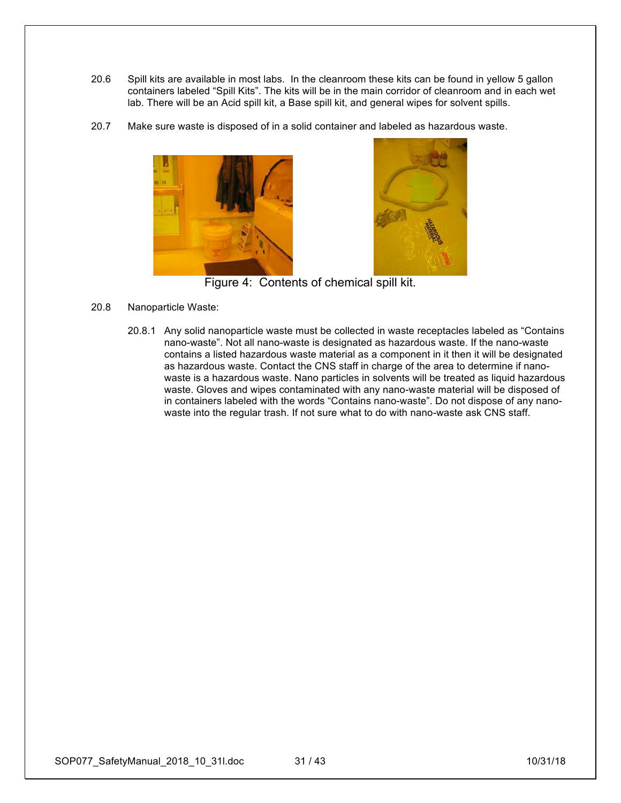- 20.6 Spill kits are available in most labs. In the cleanroom these kits can be found in yellow 5 gallon containers labeled "Spill Kits". The kits will be in the main corridor of cleanroom and in each wet lab. There will be an Acid spill kit, a Base spill kit, and general wipes for solvent spills.
- 20.7 Make sure waste is disposed of in a solid container and labeled as hazardous waste.





Figure 4: Contents of chemical spill kit.

- 20.8 Nanoparticle Waste:
	- 20.8.1 Any solid nanoparticle waste must be collected in waste receptacles labeled as "Contains nano-waste". Not all nano-waste is designated as hazardous waste. If the nano-waste contains a listed hazardous waste material as a component in it then it will be designated as hazardous waste. Contact the CNS staff in charge of the area to determine if nanowaste is a hazardous waste. Nano particles in solvents will be treated as liquid hazardous waste. Gloves and wipes contaminated with any nano-waste material will be disposed of in containers labeled with the words "Contains nano-waste". Do not dispose of any nanowaste into the regular trash. If not sure what to do with nano-waste ask CNS staff.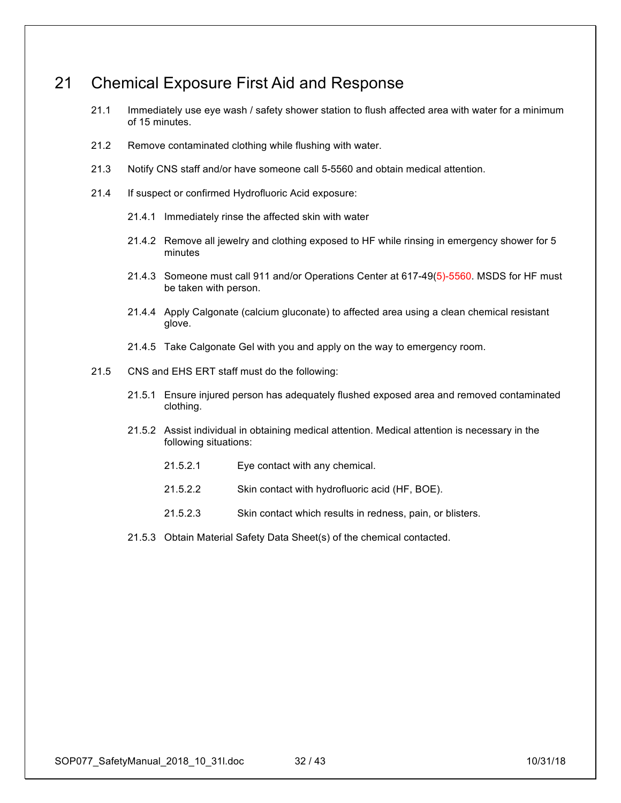## 21 Chemical Exposure First Aid and Response

- 21.1 Immediately use eye wash / safety shower station to flush affected area with water for a minimum of 15 minutes.
- 21.2 Remove contaminated clothing while flushing with water.
- 21.3 Notify CNS staff and/or have someone call 5-5560 and obtain medical attention.
- 21.4 If suspect or confirmed Hydrofluoric Acid exposure:
	- 21.4.1 Immediately rinse the affected skin with water
	- 21.4.2 Remove all jewelry and clothing exposed to HF while rinsing in emergency shower for 5 minutes
	- 21.4.3 Someone must call 911 and/or Operations Center at 617-49(5)-5560. MSDS for HF must be taken with person.
	- 21.4.4 Apply Calgonate (calcium gluconate) to affected area using a clean chemical resistant glove.
	- 21.4.5 Take Calgonate Gel with you and apply on the way to emergency room.
- 21.5 CNS and EHS ERT staff must do the following:
	- 21.5.1 Ensure injured person has adequately flushed exposed area and removed contaminated clothing.
	- 21.5.2 Assist individual in obtaining medical attention. Medical attention is necessary in the following situations:
		- 21.5.2.1 Eye contact with any chemical.
		- 21.5.2.2 Skin contact with hydrofluoric acid (HF, BOE).
		- 21.5.2.3 Skin contact which results in redness, pain, or blisters.
	- 21.5.3 Obtain Material Safety Data Sheet(s) of the chemical contacted.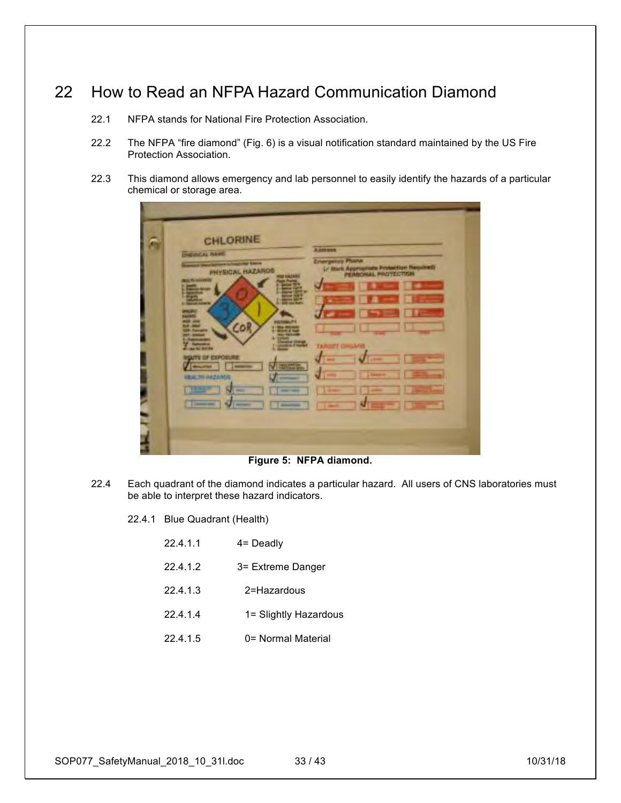## 22 How to Read an NFPA Hazard Communication Diamond

- 22.1 NFPA stands for National Fire Protection Association.
- 22.2 The NFPA "fire diamond" (Fig. 6) is a visual notification standard maintained by the US Fire Protection Association.
- 22.3 This diamond allows emergency and lab personnel to easily identify the hazards of a particular chemical or storage area.

| <b>Adments</b><br><b>CHEVROLEN FLAMM</b><br><b>Energency Plane</b><br>and the American Street and Terror<br>(/ Mark Approximate Protection Hessines)<br><b>PHYSICAL HAZARDS</b><br><b>WELL THE ANNOUNCE</b><br><b>Carl Commercial</b><br>755<br>m con<br>يسع وهوي<br>1111<br>COR<br><b>STATISTICS</b><br><b>TELESCO</b><br>-<br><b><i><u>Parts</u></i></b><br><b>TARGET GROUNDS</b><br><b>CONTRACTOR</b><br><b>LIFE OF STRONGLIN</b><br><b>Service</b><br><b>STATION</b><br><b>HEALTH MAZANDS</b><br>E<br><b>PERSONAL</b><br>-<br><b>Contractor</b><br>-<br>___<br>- | CHLORINE |  |
|----------------------------------------------------------------------------------------------------------------------------------------------------------------------------------------------------------------------------------------------------------------------------------------------------------------------------------------------------------------------------------------------------------------------------------------------------------------------------------------------------------------------------------------------------------------------|----------|--|

**Figure 5: NFPA diamond.**

22.4 Each quadrant of the diamond indicates a particular hazard. All users of CNS laboratories must be able to interpret these hazard indicators.

22.4.1 Blue Quadrant (Health)

- 22.4.1.2 3= Extreme Danger
- 22.4.1.3 2=Hazardous
- 22.4.1.4 1= Slightly Hazardous
- 22.4.1.5 0= Normal Material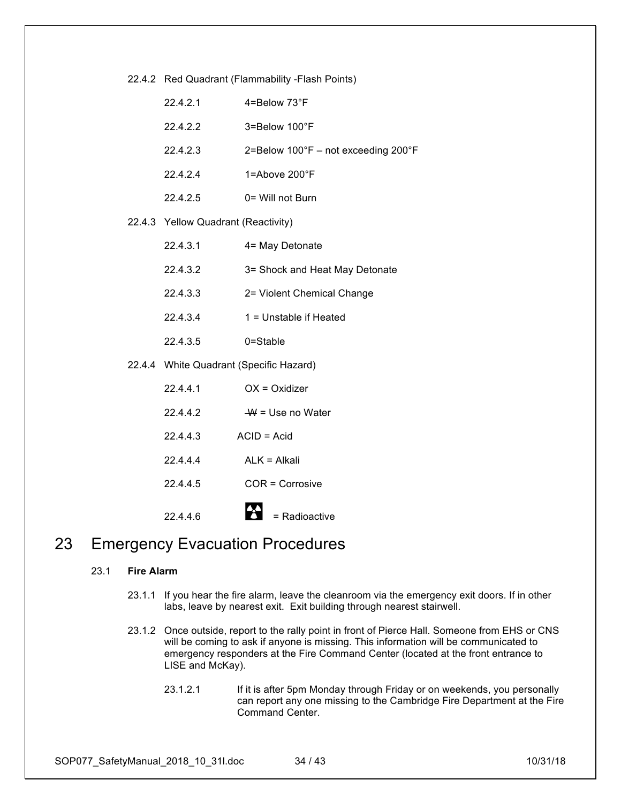| 22.4.2 Red Quadrant (Flammability -Flash Points) |
|--------------------------------------------------|
|--------------------------------------------------|

| 22.4.2.1                                | 4=Below 73°F                        |
|-----------------------------------------|-------------------------------------|
| 22.4.2.2                                | 3=Below 100°F                       |
| 22.4.2.3                                | 2=Below 100°F - not exceeding 200°F |
| 22.4.2.4                                | 1=Above 200°F                       |
| 22.4.2.5                                | 0= Will not Burn                    |
| 22.4.3 Yellow Quadrant (Reactivity)     |                                     |
| 22.4.3.1                                | 4= May Detonate                     |
| 22.4.3.2                                | 3= Shock and Heat May Detonate      |
| 22.4.3.3                                | 2= Violent Chemical Change          |
| 22.4.3.4                                | 1 = Unstable if Heated              |
| 22.4.3.5                                | 0=Stable                            |
| 22.4.4 White Quadrant (Specific Hazard) |                                     |
| 22.4.4.1                                | $OX = Oxidizer$                     |
| 22.4.4.2                                | $W = Use no Water$                  |
| 22.4.4.3                                | $ACID = Acid$                       |
| 22.4.4.4                                | $ALK = Alkali$                      |
| 22.4.4.5                                | COR = Corrosive                     |
| 22.4.4.6                                | = Radioactive                       |

## 23 Emergency Evacuation Procedures

### 23.1 **Fire Alarm**

- 23.1.1 If you hear the fire alarm, leave the cleanroom via the emergency exit doors. If in other labs, leave by nearest exit. Exit building through nearest stairwell.
- 23.1.2 Once outside, report to the rally point in front of Pierce Hall. Someone from EHS or CNS will be coming to ask if anyone is missing. This information will be communicated to emergency responders at the Fire Command Center (located at the front entrance to LISE and McKay).
	- 23.1.2.1 If it is after 5pm Monday through Friday or on weekends, you personally can report any one missing to the Cambridge Fire Department at the Fire Command Center.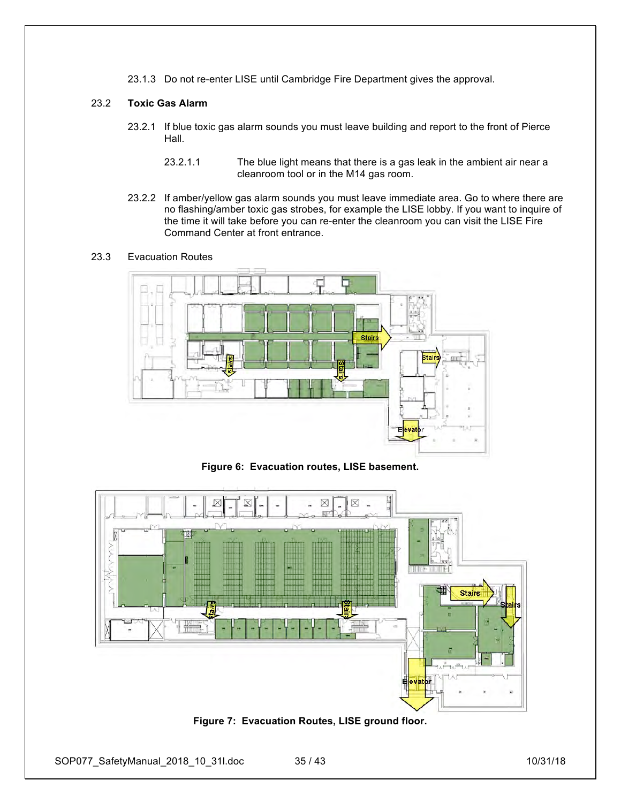23.1.3 Do not re-enter LISE until Cambridge Fire Department gives the approval.

### 23.2 **Toxic Gas Alarm**

- 23.2.1 If blue toxic gas alarm sounds you must leave building and report to the front of Pierce Hall.
	- 23.2.1.1 The blue light means that there is a gas leak in the ambient air near a cleanroom tool or in the M14 gas room.
- 23.2.2 If amber/yellow gas alarm sounds you must leave immediate area. Go to where there are no flashing/amber toxic gas strobes, for example the LISE lobby. If you want to inquire of the time it will take before you can re-enter the cleanroom you can visit the LISE Fire Command Center at front entrance.

### 23.3 Evacuation Routes



**Figure 6: Evacuation routes, LISE basement.**



**Figure 7: Evacuation Routes, LISE ground floor.**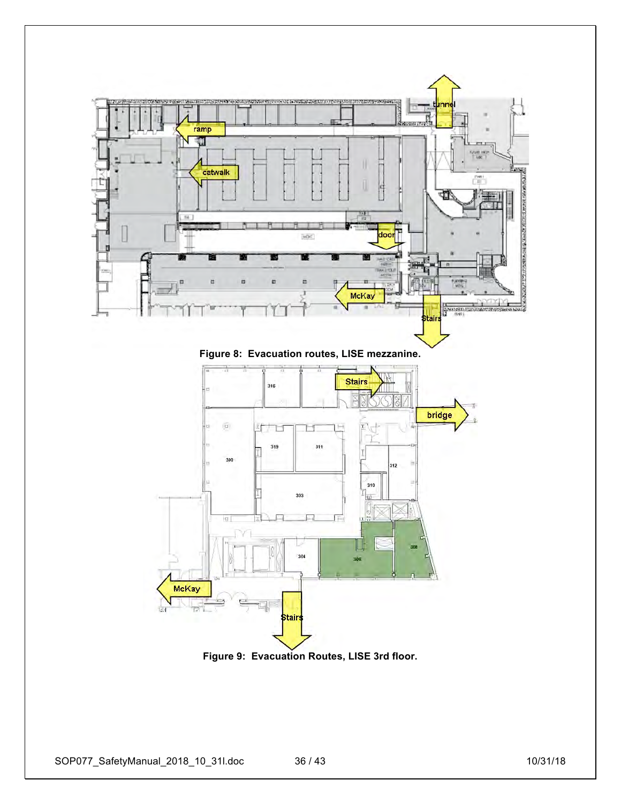

**Figure 9: Evacuation Routes, LISE 3rd floor.**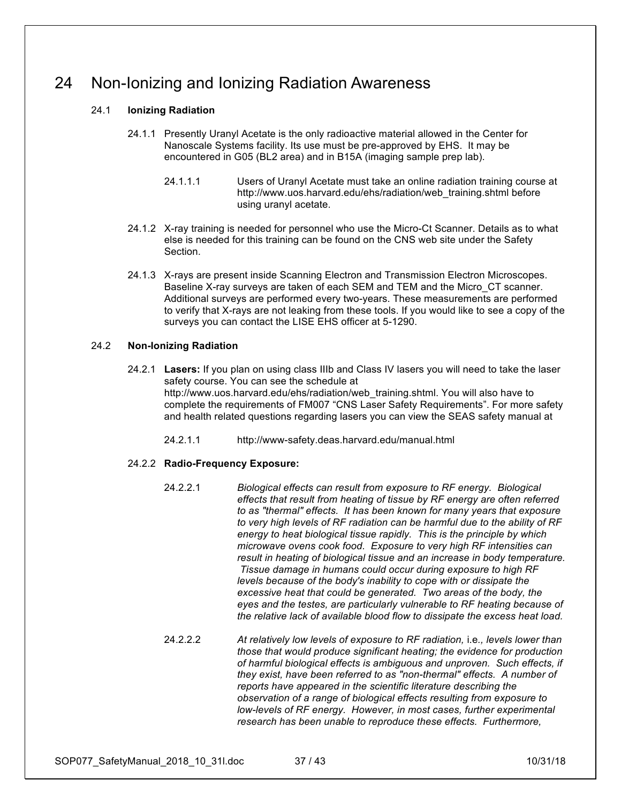## 24 Non-Ionizing and Ionizing Radiation Awareness

### 24.1 **Ionizing Radiation**

- 24.1.1 Presently Uranyl Acetate is the only radioactive material allowed in the Center for Nanoscale Systems facility. Its use must be pre-approved by EHS. It may be encountered in G05 (BL2 area) and in B15A (imaging sample prep lab).
	- 24.1.1.1 Users of Uranyl Acetate must take an online radiation training course at http://www.uos.harvard.edu/ehs/radiation/web\_training.shtml before using uranyl acetate.
- 24.1.2 X-ray training is needed for personnel who use the Micro-Ct Scanner. Details as to what else is needed for this training can be found on the CNS web site under the Safety Section.
- 24.1.3 X-rays are present inside Scanning Electron and Transmission Electron Microscopes. Baseline X-ray surveys are taken of each SEM and TEM and the Micro\_CT scanner. Additional surveys are performed every two-years. These measurements are performed to verify that X-rays are not leaking from these tools. If you would like to see a copy of the surveys you can contact the LISE EHS officer at 5-1290.

### 24.2 **Non-Ionizing Radiation**

- 24.2.1 **Lasers:** If you plan on using class IIIb and Class IV lasers you will need to take the laser safety course. You can see the schedule at http://www.uos.harvard.edu/ehs/radiation/web\_training.shtml. You will also have to complete the requirements of FM007 "CNS Laser Safety Requirements". For more safety and health related questions regarding lasers you can view the SEAS safety manual at
	- 24.2.1.1 http://www-safety.deas.harvard.edu/manual.html

### 24.2.2 **Radio-Frequency Exposure:**

- 24.2.2.1 *Biological effects can result from exposure to RF energy. Biological effects that result from heating of tissue by RF energy are often referred to as "thermal" effects. It has been known for many years that exposure to very high levels of RF radiation can be harmful due to the ability of RF energy to heat biological tissue rapidly. This is the principle by which microwave ovens cook food. Exposure to very high RF intensities can result in heating of biological tissue and an increase in body temperature. Tissue damage in humans could occur during exposure to high RF levels because of the body's inability to cope with or dissipate the excessive heat that could be generated. Two areas of the body, the eyes and the testes, are particularly vulnerable to RF heating because of the relative lack of available blood flow to dissipate the excess heat load.*
- 24.2.2.2 *At relatively low levels of exposure to RF radiation,* i.e*., levels lower than those that would produce significant heating; the evidence for production of harmful biological effects is ambiguous and unproven. Such effects, if they exist, have been referred to as "non-thermal" effects. A number of reports have appeared in the scientific literature describing the observation of a range of biological effects resulting from exposure to low-levels of RF energy. However, in most cases, further experimental research has been unable to reproduce these effects. Furthermore,*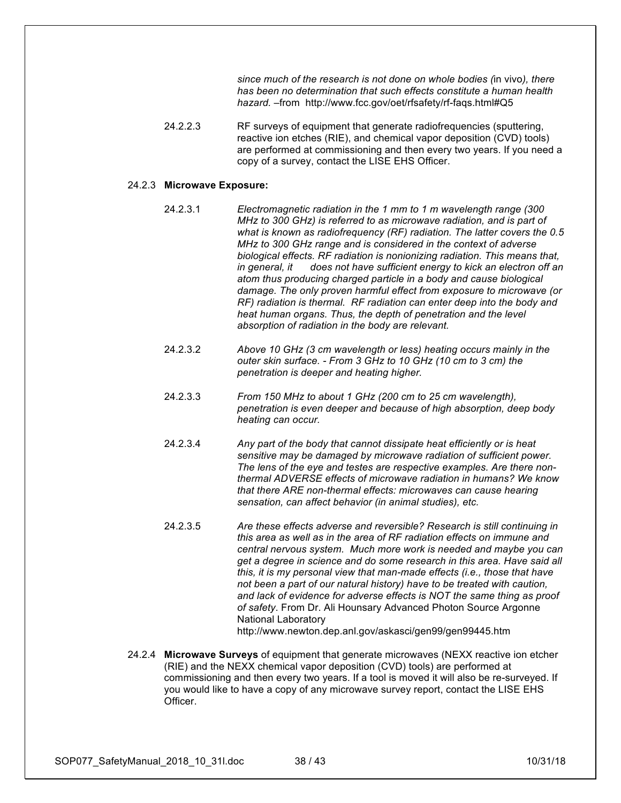*since much of the research is not done on whole bodies (*in vivo*), there has been no determination that such effects constitute a human health hazard.* –from http://www.fcc.gov/oet/rfsafety/rf-faqs.html#Q5

24.2.2.3 RF surveys of equipment that generate radiofrequencies (sputtering, reactive ion etches (RIE), and chemical vapor deposition (CVD) tools) are performed at commissioning and then every two years. If you need a copy of a survey, contact the LISE EHS Officer.

#### 24.2.3 **Microwave Exposure:**

- 24.2.3.1 *Electromagnetic radiation in the 1 mm to 1 m wavelength range (300 MHz to 300 GHz) is referred to as microwave radiation, and is part of what is known as radiofrequency (RF) radiation. The latter covers the 0.5 MHz to 300 GHz range and is considered in the context of adverse biological effects. RF radiation is nonionizing radiation. This means that, in general, it does not have sufficient energy to kick an electron off an atom thus producing charged particle in a body and cause biological damage. The only proven harmful effect from exposure to microwave (or RF) radiation is thermal. RF radiation can enter deep into the body and heat human organs. Thus, the depth of penetration and the level absorption of radiation in the body are relevant.*
- 24.2.3.2 *Above 10 GHz (3 cm wavelength or less) heating occurs mainly in the outer skin surface. - From 3 GHz to 10 GHz (10 cm to 3 cm) the penetration is deeper and heating higher.*
- 24.2.3.3 *From 150 MHz to about 1 GHz (200 cm to 25 cm wavelength), penetration is even deeper and because of high absorption, deep body heating can occur.*
- 24.2.3.4 *Any part of the body that cannot dissipate heat efficiently or is heat sensitive may be damaged by microwave radiation of sufficient power. The lens of the eye and testes are respective examples. Are there nonthermal ADVERSE effects of microwave radiation in humans? We know that there ARE non-thermal effects: microwaves can cause hearing sensation, can affect behavior (in animal studies), etc.*
- 24.2.3.5 *Are these effects adverse and reversible? Research is still continuing in this area as well as in the area of RF radiation effects on immune and central nervous system. Much more work is needed and maybe you can get a degree in science and do some research in this area. Have said all this, it is my personal view that man-made effects (i.e., those that have not been a part of our natural history) have to be treated with caution, and lack of evidence for adverse effects is NOT the same thing as proof of safety*. From Dr. Ali Hounsary Advanced Photon Source Argonne National Laboratory http://www.newton.dep.anl.gov/askasci/gen99/gen99445.htm
- 24.2.4 **Microwave Surveys** of equipment that generate microwaves (NEXX reactive ion etcher (RIE) and the NEXX chemical vapor deposition (CVD) tools) are performed at commissioning and then every two years. If a tool is moved it will also be re-surveyed. If you would like to have a copy of any microwave survey report, contact the LISE EHS Officer.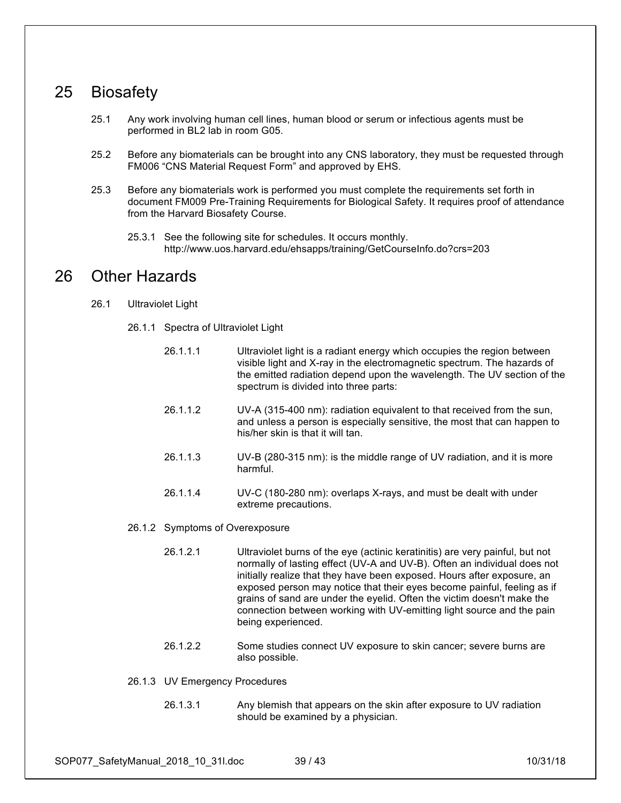## 25 Biosafety

- 25.1 Any work involving human cell lines, human blood or serum or infectious agents must be performed in BL2 lab in room G05.
- 25.2 Before any biomaterials can be brought into any CNS laboratory, they must be requested through FM006 "CNS Material Request Form" and approved by EHS.
- 25.3 Before any biomaterials work is performed you must complete the requirements set forth in document FM009 Pre-Training Requirements for Biological Safety. It requires proof of attendance from the Harvard Biosafety Course.
	- 25.3.1 See the following site for schedules. It occurs monthly. http://www.uos.harvard.edu/ehsapps/training/GetCourseInfo.do?crs=203

## 26 Other Hazards

- 26.1 Ultraviolet Light
	- 26.1.1 Spectra of Ultraviolet Light
		- 26.1.1.1 Ultraviolet light is a radiant energy which occupies the region between visible light and X-ray in the electromagnetic spectrum. The hazards of the emitted radiation depend upon the wavelength. The UV section of the spectrum is divided into three parts:
		- 26.1.1.2 UV-A (315-400 nm): radiation equivalent to that received from the sun, and unless a person is especially sensitive, the most that can happen to his/her skin is that it will tan.
		- 26.1.1.3 UV-B (280-315 nm): is the middle range of UV radiation, and it is more harmful.
		- 26.1.1.4 UV-C (180-280 nm): overlaps X-rays, and must be dealt with under extreme precautions.
	- 26.1.2 Symptoms of Overexposure
		- 26.1.2.1 Ultraviolet burns of the eye (actinic keratinitis) are very painful, but not normally of lasting effect (UV-A and UV-B). Often an individual does not initially realize that they have been exposed. Hours after exposure, an exposed person may notice that their eyes become painful, feeling as if grains of sand are under the eyelid. Often the victim doesn't make the connection between working with UV-emitting light source and the pain being experienced.
		- 26.1.2.2 Some studies connect UV exposure to skin cancer; severe burns are also possible.
	- 26.1.3 UV Emergency Procedures
		- 26.1.3.1 Any blemish that appears on the skin after exposure to UV radiation should be examined by a physician.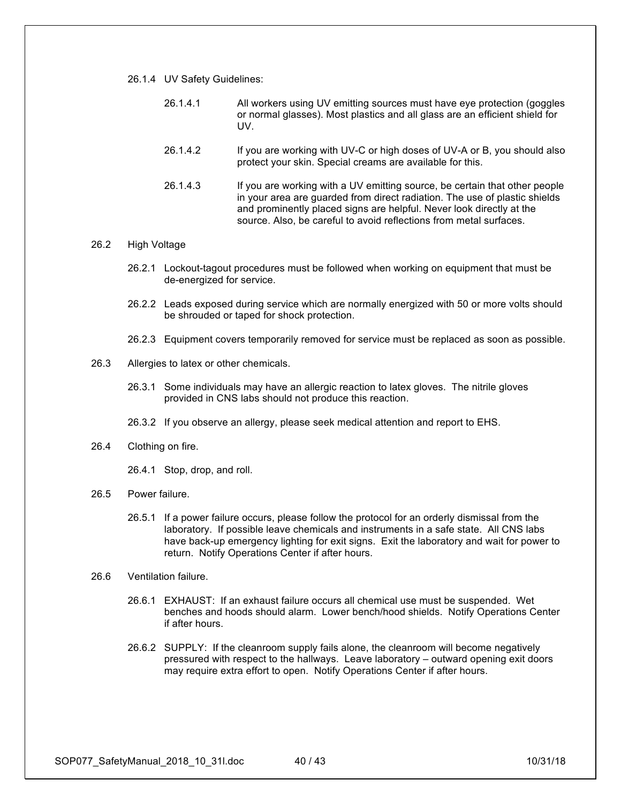- 26.1.4 UV Safety Guidelines:
	- 26.1.4.1 All workers using UV emitting sources must have eye protection (goggles or normal glasses). Most plastics and all glass are an efficient shield for UV.
	- 26.1.4.2 If you are working with UV-C or high doses of UV-A or B, you should also protect your skin. Special creams are available for this.
	- 26.1.4.3 If you are working with a UV emitting source, be certain that other people in your area are guarded from direct radiation. The use of plastic shields and prominently placed signs are helpful. Never look directly at the source. Also, be careful to avoid reflections from metal surfaces.

#### 26.2 High Voltage

- 26.2.1 Lockout-tagout procedures must be followed when working on equipment that must be de-energized for service.
- 26.2.2 Leads exposed during service which are normally energized with 50 or more volts should be shrouded or taped for shock protection.
- 26.2.3 Equipment covers temporarily removed for service must be replaced as soon as possible.
- 26.3 Allergies to latex or other chemicals.
	- 26.3.1 Some individuals may have an allergic reaction to latex gloves. The nitrile gloves provided in CNS labs should not produce this reaction.
	- 26.3.2 If you observe an allergy, please seek medical attention and report to EHS.
- 26.4 Clothing on fire.
	- 26.4.1 Stop, drop, and roll.
- 26.5 Power failure.
	- 26.5.1 If a power failure occurs, please follow the protocol for an orderly dismissal from the laboratory. If possible leave chemicals and instruments in a safe state. All CNS labs have back-up emergency lighting for exit signs. Exit the laboratory and wait for power to return. Notify Operations Center if after hours.
- 26.6 Ventilation failure.
	- 26.6.1 EXHAUST: If an exhaust failure occurs all chemical use must be suspended. Wet benches and hoods should alarm. Lower bench/hood shields. Notify Operations Center if after hours.
	- 26.6.2 SUPPLY: If the cleanroom supply fails alone, the cleanroom will become negatively pressured with respect to the hallways. Leave laboratory – outward opening exit doors may require extra effort to open. Notify Operations Center if after hours.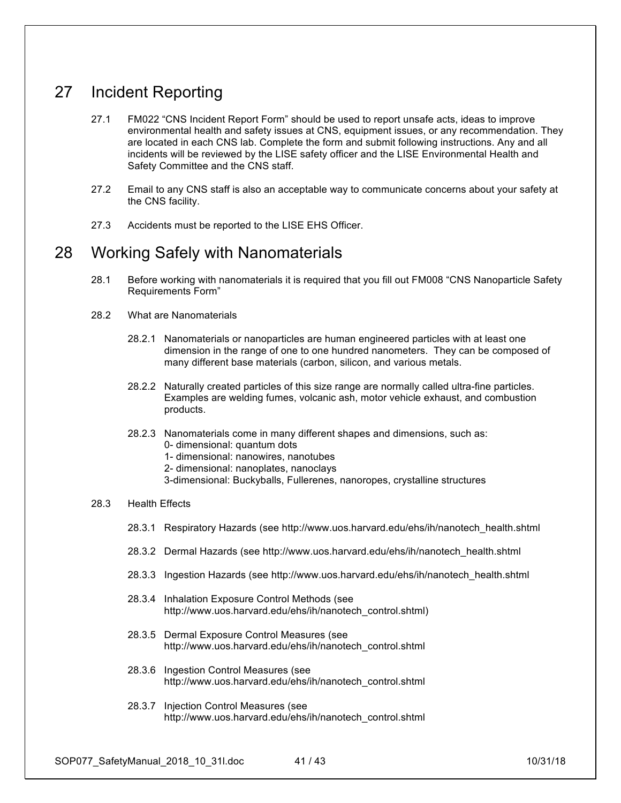## 27 Incident Reporting

- 27.1 FM022 "CNS Incident Report Form" should be used to report unsafe acts, ideas to improve environmental health and safety issues at CNS, equipment issues, or any recommendation. They are located in each CNS lab. Complete the form and submit following instructions. Any and all incidents will be reviewed by the LISE safety officer and the LISE Environmental Health and Safety Committee and the CNS staff.
- 27.2 Email to any CNS staff is also an acceptable way to communicate concerns about your safety at the CNS facility.
- 27.3 Accidents must be reported to the LISE EHS Officer.

### 28 Working Safely with Nanomaterials

- 28.1 Before working with nanomaterials it is required that you fill out FM008 "CNS Nanoparticle Safety Requirements Form"
- 28.2 What are Nanomaterials
	- 28.2.1 Nanomaterials or nanoparticles are human engineered particles with at least one dimension in the range of one to one hundred nanometers. They can be composed of many different base materials (carbon, silicon, and various metals.
	- 28.2.2 Naturally created particles of this size range are normally called ultra-fine particles. Examples are welding fumes, volcanic ash, motor vehicle exhaust, and combustion products.
	- 28.2.3 Nanomaterials come in many different shapes and dimensions, such as: 0- dimensional: quantum dots 1- dimensional: nanowires, nanotubes
		- 2- dimensional: nanoplates, nanoclays
		- 3-dimensional: Buckyballs, Fullerenes, nanoropes, crystalline structures

### 28.3 Health Effects

- 28.3.1 Respiratory Hazards (see http://www.uos.harvard.edu/ehs/ih/nanotech\_health.shtml
- 28.3.2 Dermal Hazards (see http://www.uos.harvard.edu/ehs/ih/nanotech\_health.shtml
- 28.3.3 Ingestion Hazards (see http://www.uos.harvard.edu/ehs/ih/nanotech\_health.shtml
- 28.3.4 Inhalation Exposure Control Methods (see http://www.uos.harvard.edu/ehs/ih/nanotech\_control.shtml)
- 28.3.5 Dermal Exposure Control Measures (see http://www.uos.harvard.edu/ehs/ih/nanotech\_control.shtml
- 28.3.6 Ingestion Control Measures (see http://www.uos.harvard.edu/ehs/ih/nanotech\_control.shtml
- 28.3.7 Injection Control Measures (see http://www.uos.harvard.edu/ehs/ih/nanotech\_control.shtml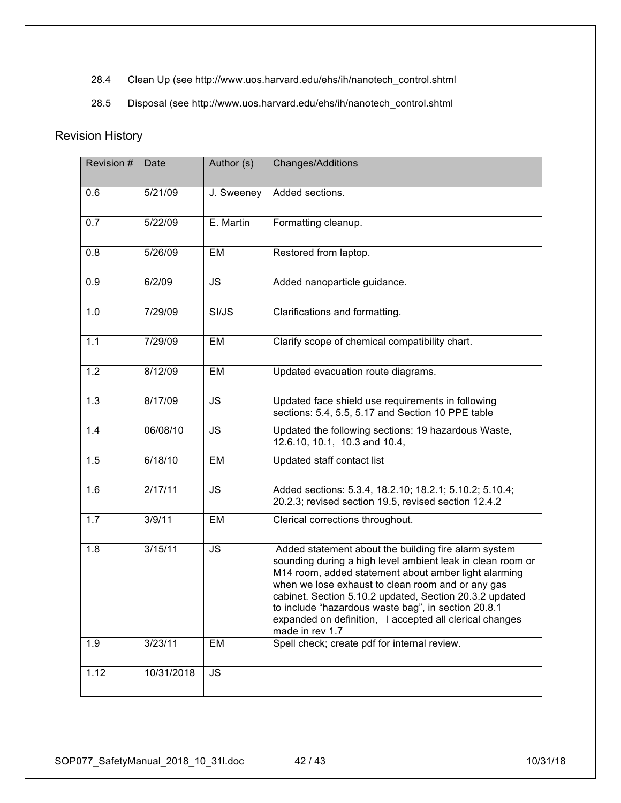- 28.4 Clean Up (see http://www.uos.harvard.edu/ehs/ih/nanotech\_control.shtml
- 28.5 Disposal (see http://www.uos.harvard.edu/ehs/ih/nanotech\_control.shtml

### Revision History

| Revision # | Date       | Author (s) | Changes/Additions                                                                                                                                                                                                                                                                                                                                                                                                               |
|------------|------------|------------|---------------------------------------------------------------------------------------------------------------------------------------------------------------------------------------------------------------------------------------------------------------------------------------------------------------------------------------------------------------------------------------------------------------------------------|
| 0.6        | 5/21/09    | J. Sweeney | Added sections.                                                                                                                                                                                                                                                                                                                                                                                                                 |
| 0.7        | 5/22/09    | E. Martin  | Formatting cleanup.                                                                                                                                                                                                                                                                                                                                                                                                             |
| 0.8        | 5/26/09    | EM         | Restored from laptop.                                                                                                                                                                                                                                                                                                                                                                                                           |
| 0.9        | 6/2/09     | <b>JS</b>  | Added nanoparticle guidance.                                                                                                                                                                                                                                                                                                                                                                                                    |
| 1.0        | 7/29/09    | SI/JS      | Clarifications and formatting.                                                                                                                                                                                                                                                                                                                                                                                                  |
| 1.1        | 7/29/09    | EM         | Clarify scope of chemical compatibility chart.                                                                                                                                                                                                                                                                                                                                                                                  |
| 1.2        | 8/12/09    | EM         | Updated evacuation route diagrams.                                                                                                                                                                                                                                                                                                                                                                                              |
| 1.3        | 8/17/09    | <b>JS</b>  | Updated face shield use requirements in following<br>sections: 5.4, 5.5, 5.17 and Section 10 PPE table                                                                                                                                                                                                                                                                                                                          |
| 1.4        | 06/08/10   | <b>JS</b>  | Updated the following sections: 19 hazardous Waste,<br>12.6.10, 10.1, 10.3 and 10.4,                                                                                                                                                                                                                                                                                                                                            |
| 1.5        | 6/18/10    | EM         | Updated staff contact list                                                                                                                                                                                                                                                                                                                                                                                                      |
| 1.6        | 2/17/11    | <b>JS</b>  | Added sections: 5.3.4, 18.2.10; 18.2.1; 5.10.2; 5.10.4;<br>20.2.3; revised section 19.5, revised section 12.4.2                                                                                                                                                                                                                                                                                                                 |
| 1.7        | 3/9/11     | EM         | Clerical corrections throughout.                                                                                                                                                                                                                                                                                                                                                                                                |
| 1.8        | 3/15/11    | <b>JS</b>  | Added statement about the building fire alarm system<br>sounding during a high level ambient leak in clean room or<br>M14 room, added statement about amber light alarming<br>when we lose exhaust to clean room and or any gas<br>cabinet. Section 5.10.2 updated, Section 20.3.2 updated<br>to include "hazardous waste bag", in section 20.8.1<br>expanded on definition, I accepted all clerical changes<br>made in rev 1.7 |
| 1.9        | 3/23/11    | EM         | Spell check; create pdf for internal review.                                                                                                                                                                                                                                                                                                                                                                                    |
| 1.12       | 10/31/2018 | <b>JS</b>  |                                                                                                                                                                                                                                                                                                                                                                                                                                 |